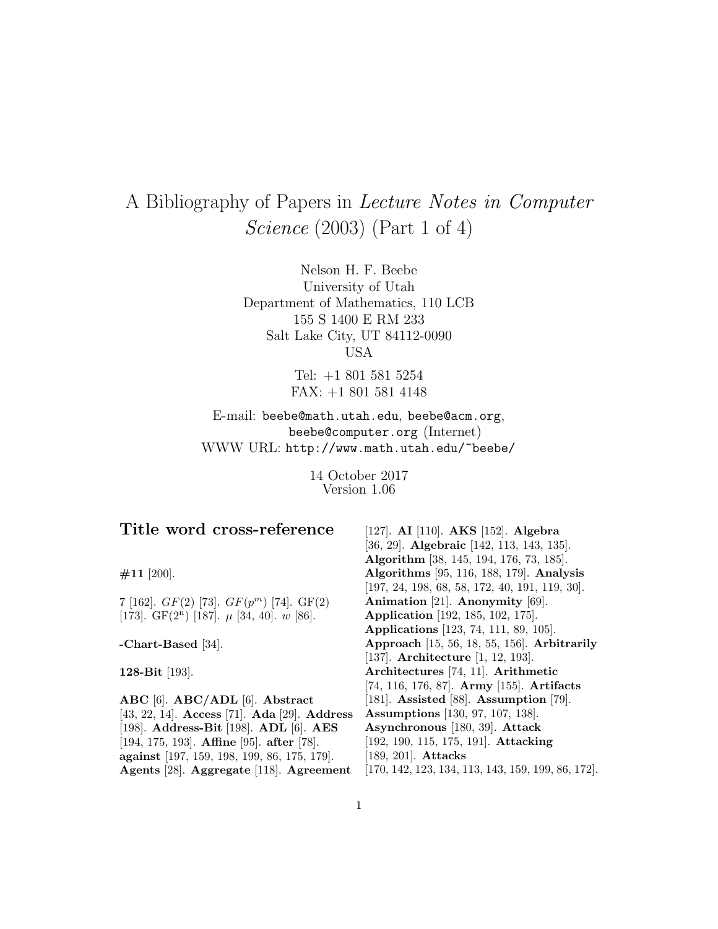# A Bibliography of Papers in Lecture Notes in Computer Science (2003) (Part 1 of 4)

Nelson H. F. Beebe University of Utah Department of Mathematics, 110 LCB 155 S 1400 E RM 233 Salt Lake City, UT 84112-0090 USA

> Tel: +1 801 581 5254 FAX: +1 801 581 4148

E-mail: beebe@math.utah.edu, beebe@acm.org, beebe@computer.org (Internet) WWW URL: http://www.math.utah.edu/~beebe/

> 14 October 2017 Version 1.06

# **Title word cross-reference**

**#11** [200].

7 [162].  $GF(2)$  [73].  $GF(p^m)$  [74].  $GF(2)$ [173]. GF $(2^n)$  [187].  $\mu$  [34, 40].  $w$  [86].

**-Chart-Based** [34].

**128-Bit** [193].

**ABC** [6]. **ABC/ADL** [6]. **Abstract** [43, 22, 14]. **Access** [71]. **Ada** [29]. **Address** [198]. **Address-Bit** [198]. **ADL** [6]. **AES** [194, 175, 193]. **Affine** [95]. **after** [78]. **against** [197, 159, 198, 199, 86, 175, 179]. **Agents** [28]. **Aggregate** [118]. **Agreement**

[127]. **AI** [110]. **AKS** [152]. **Algebra** [36, 29]. **Algebraic** [142, 113, 143, 135]. **Algorithm** [38, 145, 194, 176, 73, 185]. **Algorithms** [95, 116, 188, 179]. **Analysis** [197, 24, 198, 68, 58, 172, 40, 191, 119, 30]. **Animation** [21]. **Anonymity** [69]. **Application** [192, 185, 102, 175]. **Applications** [123, 74, 111, 89, 105]. **Approach** [15, 56, 18, 55, 156]. **Arbitrarily** [137]. **Architecture** [1, 12, 193]. **Architectures** [74, 11]. **Arithmetic** [74, 116, 176, 87]. **Army** [155]. **Artifacts** [181]. **Assisted** [88]. **Assumption** [79]. **Assumptions** [130, 97, 107, 138]. **Asynchronous** [180, 39]. **Attack** [192, 190, 115, 175, 191]. **Attacking** [189, 201]. **Attacks** [170, 142, 123, 134, 113, 143, 159, 199, 86, 172].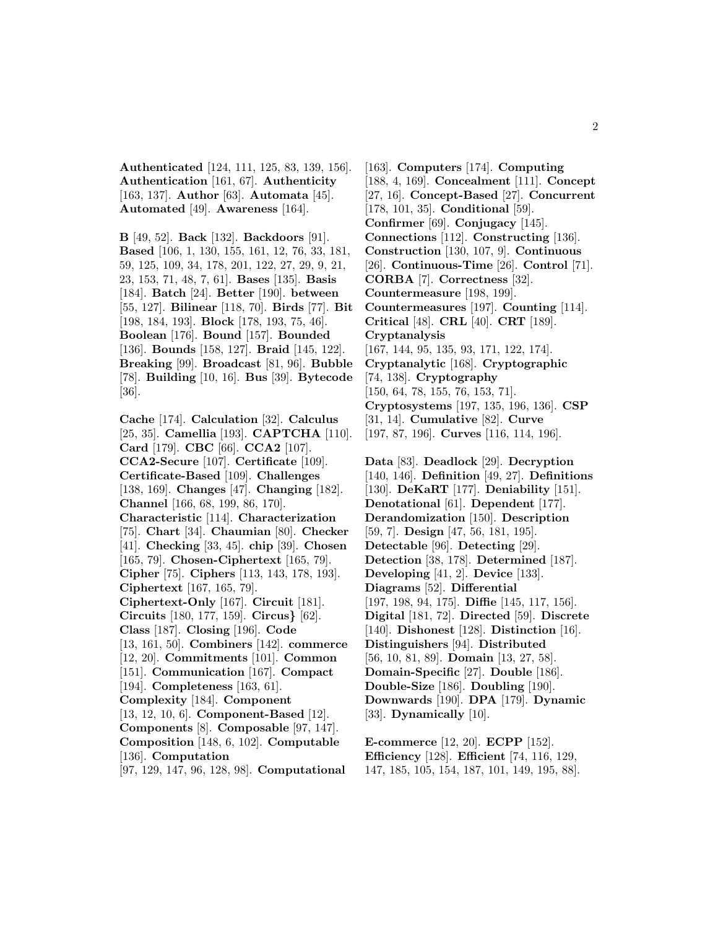**Authenticated** [124, 111, 125, 83, 139, 156]. **Authentication** [161, 67]. **Authenticity** [163, 137]. **Author** [63]. **Automata** [45]. **Automated** [49]. **Awareness** [164].

**B** [49, 52]. **Back** [132]. **Backdoors** [91]. **Based** [106, 1, 130, 155, 161, 12, 76, 33, 181, 59, 125, 109, 34, 178, 201, 122, 27, 29, 9, 21, 23, 153, 71, 48, 7, 61]. **Bases** [135]. **Basis** [184]. **Batch** [24]. **Better** [190]. **between** [55, 127]. **Bilinear** [118, 70]. **Birds** [77]. **Bit** [198, 184, 193]. **Block** [178, 193, 75, 46]. **Boolean** [176]. **Bound** [157]. **Bounded** [136]. **Bounds** [158, 127]. **Braid** [145, 122]. **Breaking** [99]. **Broadcast** [81, 96]. **Bubble** [78]. **Building** [10, 16]. **Bus** [39]. **Bytecode** [36].

**Cache** [174]. **Calculation** [32]. **Calculus** [25, 35]. **Camellia** [193]. **CAPTCHA** [110]. **Card** [179]. **CBC** [66]. **CCA2** [107]. **CCA2-Secure** [107]. **Certificate** [109]. **Certificate-Based** [109]. **Challenges** [138, 169]. **Changes** [47]. **Changing** [182]. **Channel** [166, 68, 199, 86, 170]. **Characteristic** [114]. **Characterization** [75]. **Chart** [34]. **Chaumian** [80]. **Checker** [41]. **Checking** [33, 45]. **chip** [39]. **Chosen** [165, 79]. **Chosen-Ciphertext** [165, 79]. **Cipher** [75]. **Ciphers** [113, 143, 178, 193]. **Ciphertext** [167, 165, 79]. **Ciphertext-Only** [167]. **Circuit** [181]. **Circuits** [180, 177, 159]. **Circus***}* [62]. **Class** [187]. **Closing** [196]. **Code** [13, 161, 50]. **Combiners** [142]. **commerce** [12, 20]. **Commitments** [101]. **Common** [151]. **Communication** [167]. **Compact** [194]. **Completeness** [163, 61]. **Complexity** [184]. **Component** [13, 12, 10, 6]. **Component-Based** [12]. **Components** [8]. **Composable** [97, 147]. **Composition** [148, 6, 102]. **Computable** [136]. **Computation**

[97, 129, 147, 96, 128, 98]. **Computational**

[163]. **Computers** [174]. **Computing** [188, 4, 169]. **Concealment** [111]. **Concept** [27, 16]. **Concept-Based** [27]. **Concurrent** [178, 101, 35]. **Conditional** [59]. **Confirmer** [69]. **Conjugacy** [145]. **Connections** [112]. **Constructing** [136]. **Construction** [130, 107, 9]. **Continuous** [26]. **Continuous-Time** [26]. **Control** [71]. **CORBA** [7]. **Correctness** [32]. **Countermeasure** [198, 199]. **Countermeasures** [197]. **Counting** [114]. **Critical** [48]. **CRL** [40]. **CRT** [189]. **Cryptanalysis** [167, 144, 95, 135, 93, 171, 122, 174]. **Cryptanalytic** [168]. **Cryptographic** [74, 138]. **Cryptography** [150, 64, 78, 155, 76, 153, 71]. **Cryptosystems** [197, 135, 196, 136]. **CSP** [31, 14]. **Cumulative** [82]. **Curve** [197, 87, 196]. **Curves** [116, 114, 196].

**Data** [83]. **Deadlock** [29]. **Decryption** [140, 146]. **Definition** [49, 27]. **Definitions** [130]. **DeKaRT** [177]. **Deniability** [151]. **Denotational** [61]. **Dependent** [177]. **Derandomization** [150]. **Description** [59, 7]. **Design** [47, 56, 181, 195]. **Detectable** [96]. **Detecting** [29]. **Detection** [38, 178]. **Determined** [187]. **Developing** [41, 2]. **Device** [133]. **Diagrams** [52]. **Differential** [197, 198, 94, 175]. **Diffie** [145, 117, 156]. **Digital** [181, 72]. **Directed** [59]. **Discrete** [140]. **Dishonest** [128]. **Distinction** [16]. **Distinguishers** [94]. **Distributed** [56, 10, 81, 89]. **Domain** [13, 27, 58]. **Domain-Specific** [27]. **Double** [186]. **Double-Size** [186]. **Doubling** [190]. **Downwards** [190]. **DPA** [179]. **Dynamic** [33]. **Dynamically** [10].

**E-commerce** [12, 20]. **ECPP** [152]. **Efficiency** [128]. **Efficient** [74, 116, 129, 147, 185, 105, 154, 187, 101, 149, 195, 88].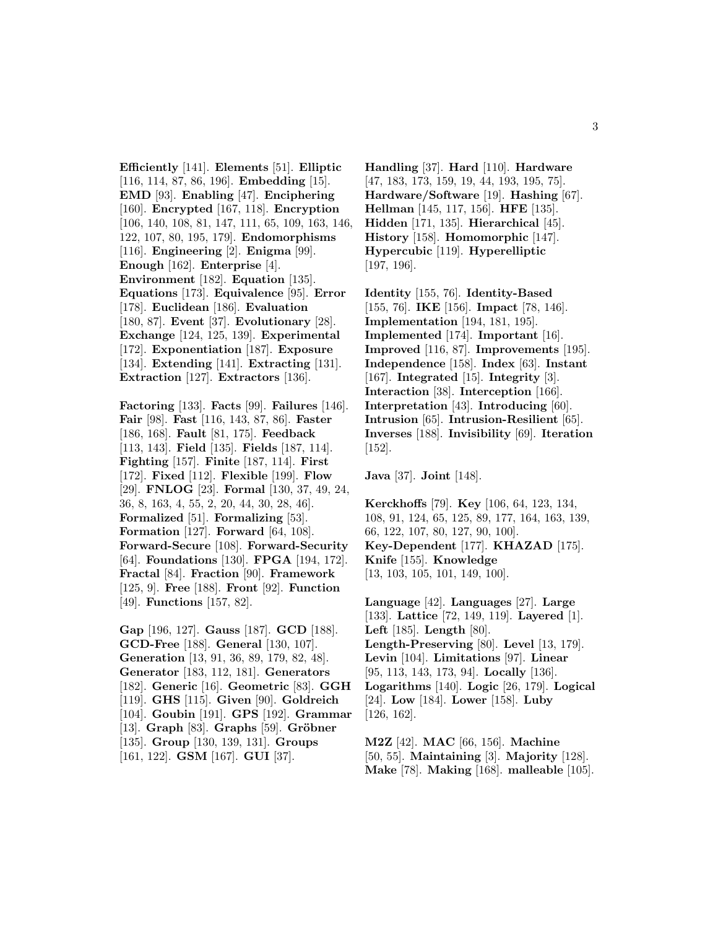**Efficiently** [141]. **Elements** [51]. **Elliptic** [116, 114, 87, 86, 196]. **Embedding** [15]. **EMD** [93]. **Enabling** [47]. **Enciphering** [160]. **Encrypted** [167, 118]. **Encryption** [106, 140, 108, 81, 147, 111, 65, 109, 163, 146, 122, 107, 80, 195, 179]. **Endomorphisms** [116]. **Engineering** [2]. **Enigma** [99]. **Enough** [162]. **Enterprise** [4]. **Environment** [182]. **Equation** [135]. **Equations** [173]. **Equivalence** [95]. **Error** [178]. **Euclidean** [186]. **Evaluation** [180, 87]. **Event** [37]. **Evolutionary** [28]. **Exchange** [124, 125, 139]. **Experimental** [172]. **Exponentiation** [187]. **Exposure** [134]. **Extending** [141]. **Extracting** [131]. **Extraction** [127]. **Extractors** [136].

**Factoring** [133]. **Facts** [99]. **Failures** [146]. **Fair** [98]. **Fast** [116, 143, 87, 86]. **Faster** [186, 168]. **Fault** [81, 175]. **Feedback** [113, 143]. **Field** [135]. **Fields** [187, 114]. **Fighting** [157]. **Finite** [187, 114]. **First** [172]. **Fixed** [112]. **Flexible** [199]. **Flow** [29]. **FNLOG** [23]. **Formal** [130, 37, 49, 24, 36, 8, 163, 4, 55, 2, 20, 44, 30, 28, 46]. **Formalized** [51]. **Formalizing** [53]. **Formation** [127]. **Forward** [64, 108]. **Forward-Secure** [108]. **Forward-Security** [64]. **Foundations** [130]. **FPGA** [194, 172]. **Fractal** [84]. **Fraction** [90]. **Framework** [125, 9]. **Free** [188]. **Front** [92]. **Function** [49]. **Functions** [157, 82].

**Gap** [196, 127]. **Gauss** [187]. **GCD** [188]. **GCD-Free** [188]. **General** [130, 107]. **Generation** [13, 91, 36, 89, 179, 82, 48]. **Generator** [183, 112, 181]. **Generators** [182]. **Generic** [16]. **Geometric** [83]. **GGH** [119]. **GHS** [115]. **Given** [90]. **Goldreich** [104]. **Goubin** [191]. **GPS** [192]. **Grammar** [13]. **Graph** [83]. **Graphs** [59]. **Gröbner** [135]. **Group** [130, 139, 131]. **Groups** [161, 122]. **GSM** [167]. **GUI** [37].

**Handling** [37]. **Hard** [110]. **Hardware** [47, 183, 173, 159, 19, 44, 193, 195, 75]. **Hardware/Software** [19]. **Hashing** [67]. **Hellman** [145, 117, 156]. **HFE** [135]. **Hidden** [171, 135]. **Hierarchical** [45]. **History** [158]. **Homomorphic** [147]. **Hypercubic** [119]. **Hyperelliptic** [197, 196].

**Identity** [155, 76]. **Identity-Based** [155, 76]. **IKE** [156]. **Impact** [78, 146]. **Implementation** [194, 181, 195]. **Implemented** [174]. **Important** [16]. **Improved** [116, 87]. **Improvements** [195]. **Independence** [158]. **Index** [63]. **Instant** [167]. **Integrated** [15]. **Integrity** [3]. **Interaction** [38]. **Interception** [166]. **Interpretation** [43]. **Introducing** [60]. **Intrusion** [65]. **Intrusion-Resilient** [65]. **Inverses** [188]. **Invisibility** [69]. **Iteration** [152].

**Java** [37]. **Joint** [148].

**Kerckhoffs** [79]. **Key** [106, 64, 123, 134, 108, 91, 124, 65, 125, 89, 177, 164, 163, 139, 66, 122, 107, 80, 127, 90, 100]. **Key-Dependent** [177]. **KHAZAD** [175]. **Knife** [155]. **Knowledge** [13, 103, 105, 101, 149, 100].

**Language** [42]. **Languages** [27]. **Large** [133]. **Lattice** [72, 149, 119]. **Layered** [1]. **Left** [185]. **Length** [80]. **Length-Preserving** [80]. **Level** [13, 179]. **Levin** [104]. **Limitations** [97]. **Linear** [95, 113, 143, 173, 94]. **Locally** [136]. **Logarithms** [140]. **Logic** [26, 179]. **Logical** [24]. **Low** [184]. **Lower** [158]. **Luby** [126, 162].

**M2Z** [42]. **MAC** [66, 156]. **Machine** [50, 55]. **Maintaining** [3]. **Majority** [128]. **Make** [78]. **Making** [168]. **malleable** [105].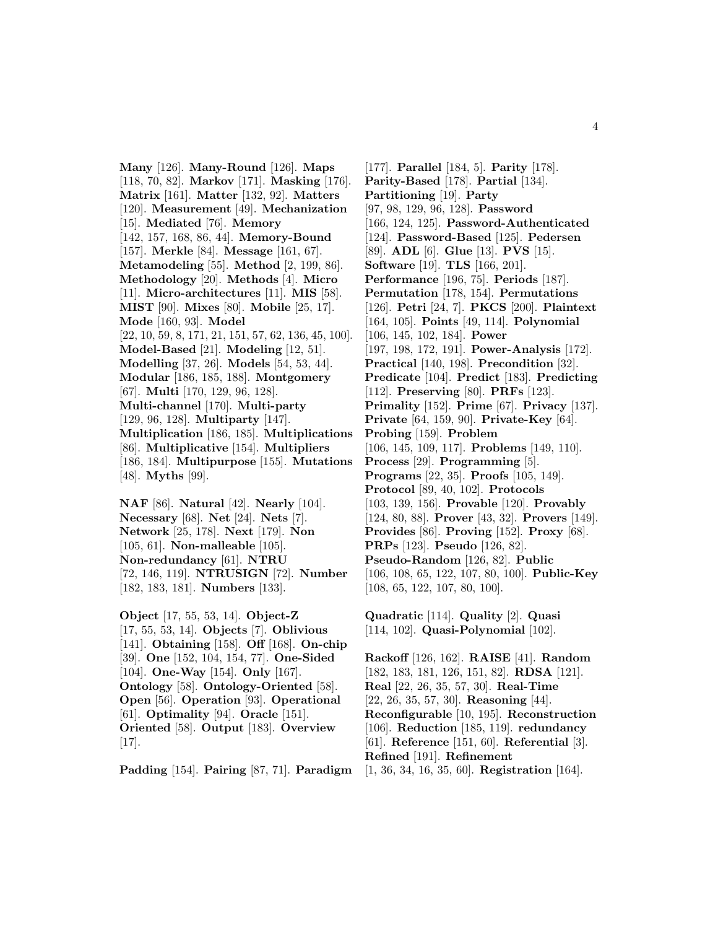**Many** [126]. **Many-Round** [126]. **Maps** [118, 70, 82]. **Markov** [171]. **Masking** [176]. **Matrix** [161]. **Matter** [132, 92]. **Matters** [120]. **Measurement** [49]. **Mechanization** [15]. **Mediated** [76]. **Memory** [142, 157, 168, 86, 44]. **Memory-Bound** [157]. **Merkle** [84]. **Message** [161, 67]. **Metamodeling** [55]. **Method** [2, 199, 86]. **Methodology** [20]. **Methods** [4]. **Micro** [11]. **Micro-architectures** [11]. **MIS** [58]. **MIST** [90]. **Mixes** [80]. **Mobile** [25, 17]. **Mode** [160, 93]. **Model** [22, 10, 59, 8, 171, 21, 151, 57, 62, 136, 45, 100]. **Model-Based** [21]. **Modeling** [12, 51]. **Modelling** [37, 26]. **Models** [54, 53, 44]. **Modular** [186, 185, 188]. **Montgomery** [67]. **Multi** [170, 129, 96, 128]. **Multi-channel** [170]. **Multi-party** [129, 96, 128]. **Multiparty** [147]. **Multiplication** [186, 185]. **Multiplications** [86]. **Multiplicative** [154]. **Multipliers** [186, 184]. **Multipurpose** [155]. **Mutations** [48]. **Myths** [99].

**NAF** [86]. **Natural** [42]. **Nearly** [104]. **Necessary** [68]. **Net** [24]. **Nets** [7]. **Network** [25, 178]. **Next** [179]. **Non** [105, 61]. **Non-malleable** [105]. **Non-redundancy** [61]. **NTRU** [72, 146, 119]. **NTRUSIGN** [72]. **Number** [182, 183, 181]. **Numbers** [133].

**Object** [17, 55, 53, 14]. **Object-Z** [17, 55, 53, 14]. **Objects** [7]. **Oblivious** [141]. **Obtaining** [158]. **Off** [168]. **On-chip** [39]. **One** [152, 104, 154, 77]. **One-Sided** [104]. **One-Way** [154]. **Only** [167]. **Ontology** [58]. **Ontology-Oriented** [58]. **Open** [56]. **Operation** [93]. **Operational** [61]. **Optimality** [94]. **Oracle** [151]. **Oriented** [58]. **Output** [183]. **Overview** [17].

**Padding** [154]. **Pairing** [87, 71]. **Paradigm**

[177]. **Parallel** [184, 5]. **Parity** [178]. **Parity-Based** [178]. **Partial** [134]. **Partitioning** [19]. **Party** [97, 98, 129, 96, 128]. **Password** [166, 124, 125]. **Password-Authenticated** [124]. **Password-Based** [125]. **Pedersen** [89]. **ADL** [6]. **Glue** [13]. **PVS** [15]. **Software** [19]. **TLS** [166, 201]. **Performance** [196, 75]. **Periods** [187]. **Permutation** [178, 154]. **Permutations** [126]. **Petri** [24, 7]. **PKCS** [200]. **Plaintext** [164, 105]. **Points** [49, 114]. **Polynomial** [106, 145, 102, 184]. **Power** [197, 198, 172, 191]. **Power-Analysis** [172]. **Practical** [140, 198]. **Precondition** [32]. **Predicate** [104]. **Predict** [183]. **Predicting** [112]. **Preserving** [80]. **PRFs** [123]. **Primality** [152]. **Prime** [67]. **Privacy** [137]. **Private** [64, 159, 90]. **Private-Key** [64]. **Probing** [159]. **Problem** [106, 145, 109, 117]. **Problems** [149, 110]. **Process** [29]. **Programming** [5]. **Programs** [22, 35]. **Proofs** [105, 149]. **Protocol** [89, 40, 102]. **Protocols** [103, 139, 156]. **Provable** [120]. **Provably** [124, 80, 88]. **Prover** [43, 32]. **Provers** [149]. **Provides** [86]. **Proving** [152]. **Proxy** [68]. **PRPs** [123]. **Pseudo** [126, 82]. **Pseudo-Random** [126, 82]. **Public** [106, 108, 65, 122, 107, 80, 100]. **Public-Key** [108, 65, 122, 107, 80, 100].

**Quadratic** [114]. **Quality** [2]. **Quasi** [114, 102]. **Quasi-Polynomial** [102].

**Rackoff** [126, 162]. **RAISE** [41]. **Random** [182, 183, 181, 126, 151, 82]. **RDSA** [121]. **Real** [22, 26, 35, 57, 30]. **Real-Time** [22, 26, 35, 57, 30]. **Reasoning** [44]. **Reconfigurable** [10, 195]. **Reconstruction** [106]. **Reduction** [185, 119]. **redundancy** [61]. **Reference** [151, 60]. **Referential** [3]. **Refined** [191]. **Refinement** [1, 36, 34, 16, 35, 60]. **Registration** [164].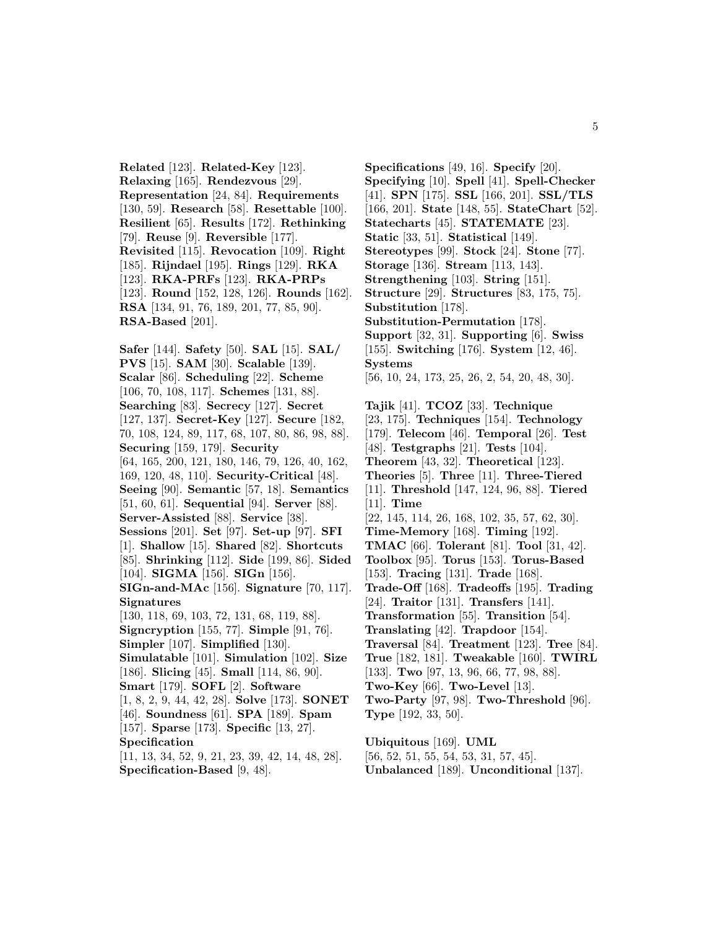**Related** [123]. **Related-Key** [123]. **Relaxing** [165]. **Rendezvous** [29]. **Representation** [24, 84]. **Requirements** [130, 59]. **Research** [58]. **Resettable** [100]. **Resilient** [65]. **Results** [172]. **Rethinking** [79]. **Reuse** [9]. **Reversible** [177]. **Revisited** [115]. **Revocation** [109]. **Right** [185]. **Rijndael** [195]. **Rings** [129]. **RKA** [123]. **RKA-PRFs** [123]. **RKA-PRPs** [123]. **Round** [152, 128, 126]. **Rounds** [162]. **RSA** [134, 91, 76, 189, 201, 77, 85, 90]. **RSA-Based** [201].

**Safer** [144]. **Safety** [50]. **SAL** [15]. **SAL/ PVS** [15]. **SAM** [30]. **Scalable** [139]. **Scalar** [86]. **Scheduling** [22]. **Scheme** [106, 70, 108, 117]. **Schemes** [131, 88]. **Searching** [83]. **Secrecy** [127]. **Secret** [127, 137]. **Secret-Key** [127]. **Secure** [182, 70, 108, 124, 89, 117, 68, 107, 80, 86, 98, 88]. **Securing** [159, 179]. **Security** [64, 165, 200, 121, 180, 146, 79, 126, 40, 162, 169, 120, 48, 110]. **Security-Critical** [48]. **Seeing** [90]. **Semantic** [57, 18]. **Semantics** [51, 60, 61]. **Sequential** [94]. **Server** [88]. **Server-Assisted** [88]. **Service** [38]. **Sessions** [201]. **Set** [97]. **Set-up** [97]. **SFI** [1]. **Shallow** [15]. **Shared** [82]. **Shortcuts** [85]. **Shrinking** [112]. **Side** [199, 86]. **Sided** [104]. **SIGMA** [156]. **SIGn** [156]. **SIGn-and-MAc** [156]. **Signature** [70, 117]. **Signatures** [130, 118, 69, 103, 72, 131, 68, 119, 88]. **Signcryption** [155, 77]. **Simple** [91, 76]. **Simpler** [107]. **Simplified** [130]. **Simulatable** [101]. **Simulation** [102]. **Size** [186]. **Slicing** [45]. **Small** [114, 86, 90]. **Smart** [179]. **SOFL** [2]. **Software** [1, 8, 2, 9, 44, 42, 28]. **Solve** [173]. **SONET** [46]. **Soundness** [61]. **SPA** [189]. **Spam** [157]. **Sparse** [173]. **Specific** [13, 27]. **Specification** [11, 13, 34, 52, 9, 21, 23, 39, 42, 14, 48, 28].

**Specification-Based** [9, 48].

**Specifications** [49, 16]. **Specify** [20]. **Specifying** [10]. **Spell** [41]. **Spell-Checker** [41]. **SPN** [175]. **SSL** [166, 201]. **SSL/TLS** [166, 201]. **State** [148, 55]. **StateChart** [52]. **Statecharts** [45]. **STATEMATE** [23]. **Static** [33, 51]. **Statistical** [149]. **Stereotypes** [99]. **Stock** [24]. **Stone** [77]. **Storage** [136]. **Stream** [113, 143]. **Strengthening** [103]. **String** [151]. **Structure** [29]. **Structures** [83, 175, 75]. **Substitution** [178]. **Substitution-Permutation** [178]. **Support** [32, 31]. **Supporting** [6]. **Swiss** [155]. **Switching** [176]. **System** [12, 46]. **Systems** [56, 10, 24, 173, 25, 26, 2, 54, 20, 48, 30]. **Tajik** [41]. **TCOZ** [33]. **Technique** [23, 175]. **Techniques** [154]. **Technology** [179]. **Telecom** [46]. **Temporal** [26]. **Test** [48]. **Testgraphs** [21]. **Tests** [104]. **Theorem** [43, 32]. **Theoretical** [123]. **Theories** [5]. **Three** [11]. **Three-Tiered** [11]. **Threshold** [147, 124, 96, 88]. **Tiered** [11]. **Time** [22, 145, 114, 26, 168, 102, 35, 57, 62, 30]. **Time-Memory** [168]. **Timing** [192]. **TMAC** [66]. **Tolerant** [81]. **Tool** [31, 42]. **Toolbox** [95]. **Torus** [153]. **Torus-Based** [153]. **Tracing** [131]. **Trade** [168]. **Trade-Off** [168]. **Tradeoffs** [195]. **Trading** [24]. **Traitor** [131]. **Transfers** [141]. **Transformation** [55]. **Transition** [54]. **Translating** [42]. **Trapdoor** [154]. **Traversal** [84]. **Treatment** [123]. **Tree** [84]. **True** [182, 181]. **Tweakable** [160]. **TWIRL** [133]. **Two** [97, 13, 96, 66, 77, 98, 88]. **Two-Key** [66]. **Two-Level** [13].

**Two-Party** [97, 98]. **Two-Threshold** [96].

**Type** [192, 33, 50].

**Ubiquitous** [169]. **UML**

[56, 52, 51, 55, 54, 53, 31, 57, 45].

**Unbalanced** [189]. **Unconditional** [137].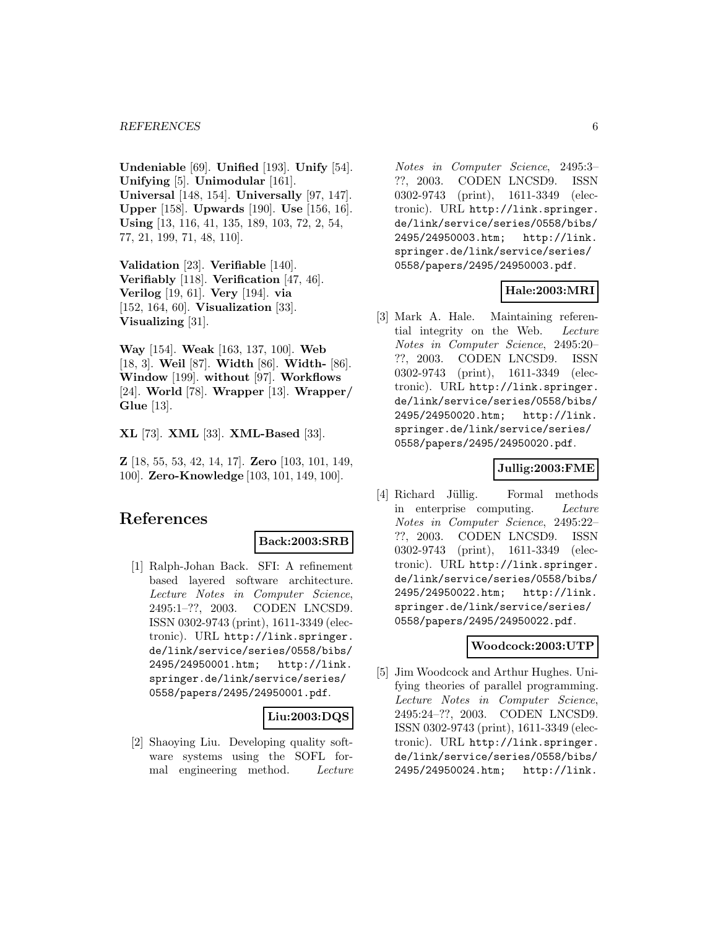**Undeniable** [69]. **Unified** [193]. **Unify** [54]. **Unifying** [5]. **Unimodular** [161]. **Universal** [148, 154]. **Universally** [97, 147]. **Upper** [158]. **Upwards** [190]. **Use** [156, 16]. **Using** [13, 116, 41, 135, 189, 103, 72, 2, 54, 77, 21, 199, 71, 48, 110].

**Validation** [23]. **Verifiable** [140]. **Verifiably** [118]. **Verification** [47, 46]. **Verilog** [19, 61]. **Very** [194]. **via** [152, 164, 60]. **Visualization** [33]. **Visualizing** [31].

**Way** [154]. **Weak** [163, 137, 100]. **Web** [18, 3]. **Weil** [87]. **Width** [86]. **Width-** [86]. **Window** [199]. **without** [97]. **Workflows** [24]. **World** [78]. **Wrapper** [13]. **Wrapper/ Glue** [13].

**XL** [73]. **XML** [33]. **XML-Based** [33].

**Z** [18, 55, 53, 42, 14, 17]. **Zero** [103, 101, 149, 100]. **Zero-Knowledge** [103, 101, 149, 100].

# **References**

# **Back:2003:SRB**

[1] Ralph-Johan Back. SFI: A refinement based layered software architecture. Lecture Notes in Computer Science, 2495:1–??, 2003. CODEN LNCSD9. ISSN 0302-9743 (print), 1611-3349 (electronic). URL http://link.springer. de/link/service/series/0558/bibs/ 2495/24950001.htm; http://link. springer.de/link/service/series/ 0558/papers/2495/24950001.pdf.

# **Liu:2003:DQS**

[2] Shaoying Liu. Developing quality software systems using the SOFL formal engineering method. Lecture Notes in Computer Science, 2495:3– ??, 2003. CODEN LNCSD9. ISSN 0302-9743 (print), 1611-3349 (electronic). URL http://link.springer. de/link/service/series/0558/bibs/ 2495/24950003.htm; http://link. springer.de/link/service/series/ 0558/papers/2495/24950003.pdf.

# **Hale:2003:MRI**

[3] Mark A. Hale. Maintaining referential integrity on the Web. Lecture Notes in Computer Science, 2495:20– ??, 2003. CODEN LNCSD9. ISSN 0302-9743 (print), 1611-3349 (electronic). URL http://link.springer. de/link/service/series/0558/bibs/ 2495/24950020.htm; http://link. springer.de/link/service/series/ 0558/papers/2495/24950020.pdf.

# **Jullig:2003:FME**

[4] Richard Jüllig. Formal methods in enterprise computing. Lecture Notes in Computer Science, 2495:22– ??, 2003. CODEN LNCSD9. ISSN 0302-9743 (print), 1611-3349 (electronic). URL http://link.springer. de/link/service/series/0558/bibs/ 2495/24950022.htm; http://link. springer.de/link/service/series/ 0558/papers/2495/24950022.pdf.

#### **Woodcock:2003:UTP**

[5] Jim Woodcock and Arthur Hughes. Unifying theories of parallel programming. Lecture Notes in Computer Science, 2495:24–??, 2003. CODEN LNCSD9. ISSN 0302-9743 (print), 1611-3349 (electronic). URL http://link.springer. de/link/service/series/0558/bibs/ 2495/24950024.htm; http://link.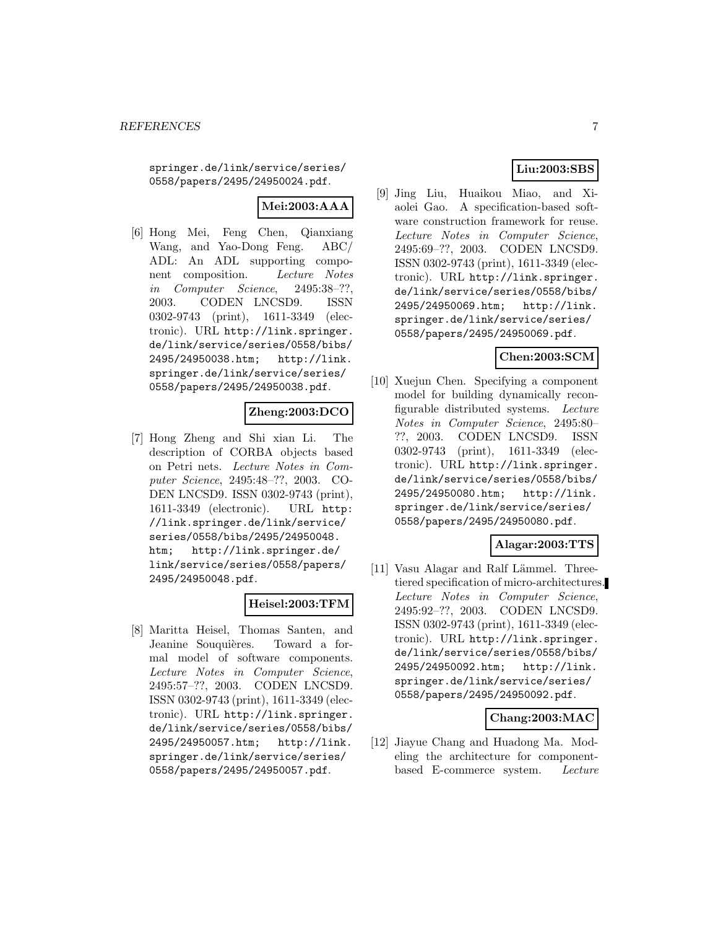springer.de/link/service/series/ 0558/papers/2495/24950024.pdf.

# **Mei:2003:AAA**

[6] Hong Mei, Feng Chen, Qianxiang Wang, and Yao-Dong Feng. ABC/ ADL: An ADL supporting component composition. Lecture Notes in Computer Science, 2495:38–??, 2003. CODEN LNCSD9. ISSN 0302-9743 (print), 1611-3349 (electronic). URL http://link.springer. de/link/service/series/0558/bibs/ 2495/24950038.htm; http://link. springer.de/link/service/series/ 0558/papers/2495/24950038.pdf.

# **Zheng:2003:DCO**

[7] Hong Zheng and Shi xian Li. The description of CORBA objects based on Petri nets. Lecture Notes in Computer Science, 2495:48–??, 2003. CO-DEN LNCSD9. ISSN 0302-9743 (print), 1611-3349 (electronic). URL http: //link.springer.de/link/service/ series/0558/bibs/2495/24950048. htm; http://link.springer.de/ link/service/series/0558/papers/ 2495/24950048.pdf.

# **Heisel:2003:TFM**

[8] Maritta Heisel, Thomas Santen, and Jeanine Souquières. Toward a formal model of software components. Lecture Notes in Computer Science, 2495:57–??, 2003. CODEN LNCSD9. ISSN 0302-9743 (print), 1611-3349 (electronic). URL http://link.springer. de/link/service/series/0558/bibs/ 2495/24950057.htm; http://link. springer.de/link/service/series/ 0558/papers/2495/24950057.pdf.

# **Liu:2003:SBS**

[9] Jing Liu, Huaikou Miao, and Xiaolei Gao. A specification-based software construction framework for reuse. Lecture Notes in Computer Science, 2495:69–??, 2003. CODEN LNCSD9. ISSN 0302-9743 (print), 1611-3349 (electronic). URL http://link.springer. de/link/service/series/0558/bibs/ 2495/24950069.htm; http://link. springer.de/link/service/series/ 0558/papers/2495/24950069.pdf.

#### **Chen:2003:SCM**

[10] Xuejun Chen. Specifying a component model for building dynamically reconfigurable distributed systems. Lecture Notes in Computer Science, 2495:80– ??, 2003. CODEN LNCSD9. ISSN 0302-9743 (print), 1611-3349 (electronic). URL http://link.springer. de/link/service/series/0558/bibs/ 2495/24950080.htm; http://link. springer.de/link/service/series/ 0558/papers/2495/24950080.pdf.

# **Alagar:2003:TTS**

[11] Vasu Alagar and Ralf Lämmel. Threetiered specification of micro-architectures. Lecture Notes in Computer Science, 2495:92–??, 2003. CODEN LNCSD9. ISSN 0302-9743 (print), 1611-3349 (electronic). URL http://link.springer. de/link/service/series/0558/bibs/ 2495/24950092.htm; http://link. springer.de/link/service/series/ 0558/papers/2495/24950092.pdf.

#### **Chang:2003:MAC**

[12] Jiayue Chang and Huadong Ma. Modeling the architecture for componentbased E-commerce system. Lecture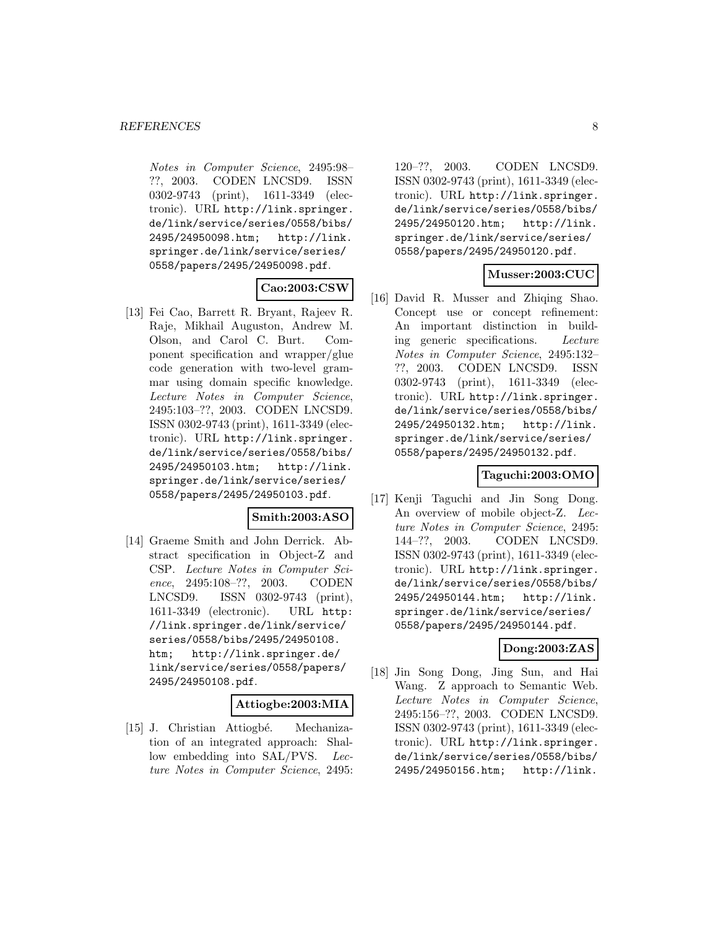Notes in Computer Science, 2495:98– ??, 2003. CODEN LNCSD9. ISSN 0302-9743 (print), 1611-3349 (electronic). URL http://link.springer. de/link/service/series/0558/bibs/ 2495/24950098.htm; http://link. springer.de/link/service/series/ 0558/papers/2495/24950098.pdf.

#### **Cao:2003:CSW**

[13] Fei Cao, Barrett R. Bryant, Rajeev R. Raje, Mikhail Auguston, Andrew M. Olson, and Carol C. Burt. Component specification and wrapper/glue code generation with two-level grammar using domain specific knowledge. Lecture Notes in Computer Science, 2495:103–??, 2003. CODEN LNCSD9. ISSN 0302-9743 (print), 1611-3349 (electronic). URL http://link.springer. de/link/service/series/0558/bibs/ 2495/24950103.htm; http://link. springer.de/link/service/series/ 0558/papers/2495/24950103.pdf.

# **Smith:2003:ASO**

[14] Graeme Smith and John Derrick. Abstract specification in Object-Z and CSP. Lecture Notes in Computer Science, 2495:108–??, 2003. CODEN LNCSD9. ISSN 0302-9743 (print), 1611-3349 (electronic). URL http: //link.springer.de/link/service/ series/0558/bibs/2495/24950108. htm; http://link.springer.de/ link/service/series/0558/papers/ 2495/24950108.pdf.

#### **Attiogbe:2003:MIA**

[15] J. Christian Attiogbé. Mechanization of an integrated approach: Shallow embedding into SAL/PVS. Lecture Notes in Computer Science, 2495:

120–??, 2003. CODEN LNCSD9. ISSN 0302-9743 (print), 1611-3349 (electronic). URL http://link.springer. de/link/service/series/0558/bibs/ 2495/24950120.htm; http://link. springer.de/link/service/series/ 0558/papers/2495/24950120.pdf.

# **Musser:2003:CUC**

[16] David R. Musser and Zhiqing Shao. Concept use or concept refinement: An important distinction in building generic specifications. Lecture Notes in Computer Science, 2495:132– ??, 2003. CODEN LNCSD9. ISSN 0302-9743 (print), 1611-3349 (electronic). URL http://link.springer. de/link/service/series/0558/bibs/ 2495/24950132.htm; http://link. springer.de/link/service/series/ 0558/papers/2495/24950132.pdf.

#### **Taguchi:2003:OMO**

[17] Kenji Taguchi and Jin Song Dong. An overview of mobile object-Z. Lecture Notes in Computer Science, 2495: 144–??, 2003. CODEN LNCSD9. ISSN 0302-9743 (print), 1611-3349 (electronic). URL http://link.springer. de/link/service/series/0558/bibs/ 2495/24950144.htm; http://link. springer.de/link/service/series/ 0558/papers/2495/24950144.pdf.

# **Dong:2003:ZAS**

[18] Jin Song Dong, Jing Sun, and Hai Wang. Z approach to Semantic Web. Lecture Notes in Computer Science, 2495:156–??, 2003. CODEN LNCSD9. ISSN 0302-9743 (print), 1611-3349 (electronic). URL http://link.springer. de/link/service/series/0558/bibs/ 2495/24950156.htm; http://link.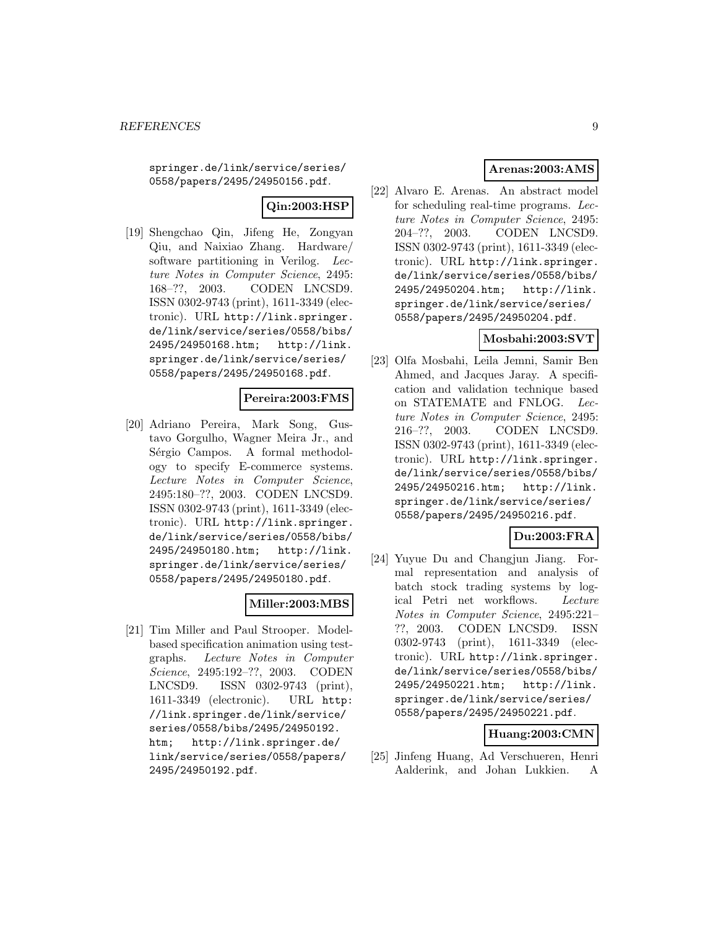springer.de/link/service/series/ 0558/papers/2495/24950156.pdf.

# **Qin:2003:HSP**

[19] Shengchao Qin, Jifeng He, Zongyan Qiu, and Naixiao Zhang. Hardware/ software partitioning in Verilog. Lecture Notes in Computer Science, 2495: 168–??, 2003. CODEN LNCSD9. ISSN 0302-9743 (print), 1611-3349 (electronic). URL http://link.springer. de/link/service/series/0558/bibs/ 2495/24950168.htm; http://link. springer.de/link/service/series/ 0558/papers/2495/24950168.pdf.

# **Pereira:2003:FMS**

[20] Adriano Pereira, Mark Song, Gustavo Gorgulho, Wagner Meira Jr., and Sérgio Campos. A formal methodology to specify E-commerce systems. Lecture Notes in Computer Science, 2495:180–??, 2003. CODEN LNCSD9. ISSN 0302-9743 (print), 1611-3349 (electronic). URL http://link.springer. de/link/service/series/0558/bibs/ 2495/24950180.htm; http://link. springer.de/link/service/series/ 0558/papers/2495/24950180.pdf.

# **Miller:2003:MBS**

[21] Tim Miller and Paul Strooper. Modelbased specification animation using testgraphs. Lecture Notes in Computer Science, 2495:192–??, 2003. CODEN LNCSD9. ISSN 0302-9743 (print), 1611-3349 (electronic). URL http: //link.springer.de/link/service/ series/0558/bibs/2495/24950192. htm; http://link.springer.de/ link/service/series/0558/papers/ 2495/24950192.pdf.

# **Arenas:2003:AMS**

[22] Alvaro E. Arenas. An abstract model for scheduling real-time programs. Lecture Notes in Computer Science, 2495: 204–??, 2003. CODEN LNCSD9. ISSN 0302-9743 (print), 1611-3349 (electronic). URL http://link.springer. de/link/service/series/0558/bibs/ 2495/24950204.htm; http://link. springer.de/link/service/series/ 0558/papers/2495/24950204.pdf.

# **Mosbahi:2003:SVT**

[23] Olfa Mosbahi, Leila Jemni, Samir Ben Ahmed, and Jacques Jaray. A specification and validation technique based on STATEMATE and FNLOG. Lecture Notes in Computer Science, 2495: 216–??, 2003. CODEN LNCSD9. ISSN 0302-9743 (print), 1611-3349 (electronic). URL http://link.springer. de/link/service/series/0558/bibs/ 2495/24950216.htm; http://link. springer.de/link/service/series/ 0558/papers/2495/24950216.pdf.

# **Du:2003:FRA**

[24] Yuyue Du and Changjun Jiang. Formal representation and analysis of batch stock trading systems by logical Petri net workflows. Lecture Notes in Computer Science, 2495:221– ??, 2003. CODEN LNCSD9. ISSN 0302-9743 (print), 1611-3349 (electronic). URL http://link.springer. de/link/service/series/0558/bibs/ 2495/24950221.htm; http://link. springer.de/link/service/series/ 0558/papers/2495/24950221.pdf.

# **Huang:2003:CMN**

[25] Jinfeng Huang, Ad Verschueren, Henri Aalderink, and Johan Lukkien. A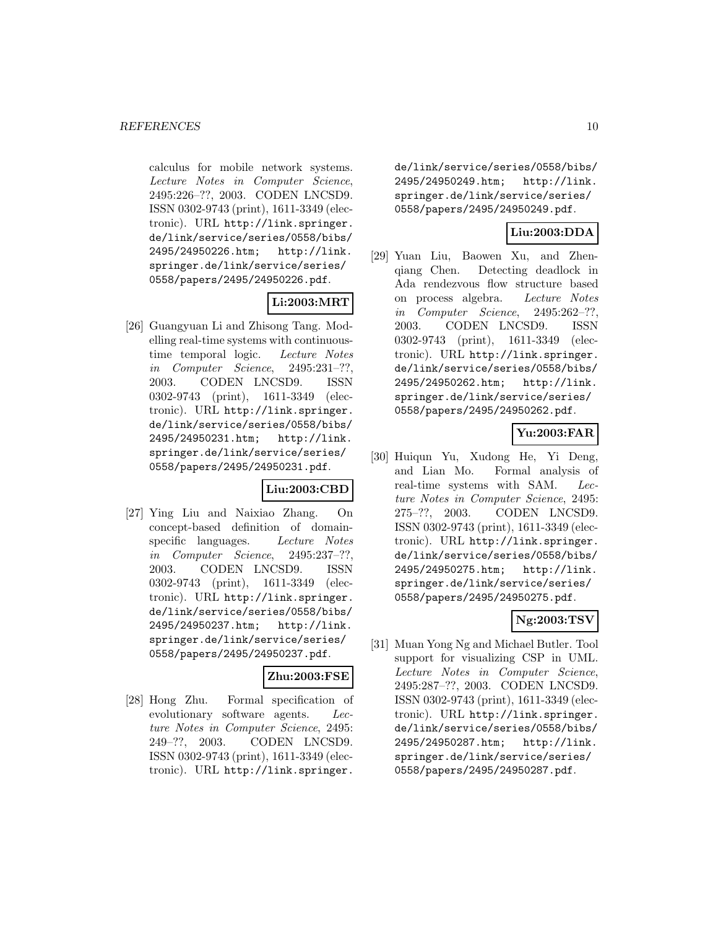calculus for mobile network systems. Lecture Notes in Computer Science, 2495:226–??, 2003. CODEN LNCSD9. ISSN 0302-9743 (print), 1611-3349 (electronic). URL http://link.springer. de/link/service/series/0558/bibs/ 2495/24950226.htm; http://link. springer.de/link/service/series/ 0558/papers/2495/24950226.pdf.

# **Li:2003:MRT**

[26] Guangyuan Li and Zhisong Tang. Modelling real-time systems with continuoustime temporal logic. Lecture Notes in Computer Science, 2495:231–??, 2003. CODEN LNCSD9. ISSN 0302-9743 (print), 1611-3349 (electronic). URL http://link.springer. de/link/service/series/0558/bibs/ 2495/24950231.htm; http://link. springer.de/link/service/series/ 0558/papers/2495/24950231.pdf.

# **Liu:2003:CBD**

[27] Ying Liu and Naixiao Zhang. On concept-based definition of domainspecific languages. Lecture Notes in Computer Science, 2495:237–??, 2003. CODEN LNCSD9. ISSN 0302-9743 (print), 1611-3349 (electronic). URL http://link.springer. de/link/service/series/0558/bibs/ 2495/24950237.htm; http://link. springer.de/link/service/series/ 0558/papers/2495/24950237.pdf.

# **Zhu:2003:FSE**

[28] Hong Zhu. Formal specification of evolutionary software agents. Lecture Notes in Computer Science, 2495: 249–??, 2003. CODEN LNCSD9. ISSN 0302-9743 (print), 1611-3349 (electronic). URL http://link.springer.

de/link/service/series/0558/bibs/ 2495/24950249.htm; http://link. springer.de/link/service/series/ 0558/papers/2495/24950249.pdf.

# **Liu:2003:DDA**

[29] Yuan Liu, Baowen Xu, and Zhenqiang Chen. Detecting deadlock in Ada rendezvous flow structure based on process algebra. Lecture Notes in Computer Science, 2495:262–??, 2003. CODEN LNCSD9. ISSN 0302-9743 (print), 1611-3349 (electronic). URL http://link.springer. de/link/service/series/0558/bibs/ 2495/24950262.htm; http://link. springer.de/link/service/series/ 0558/papers/2495/24950262.pdf.

# **Yu:2003:FAR**

[30] Huiqun Yu, Xudong He, Yi Deng, and Lian Mo. Formal analysis of real-time systems with SAM. Lecture Notes in Computer Science, 2495: 275–??, 2003. CODEN LNCSD9. ISSN 0302-9743 (print), 1611-3349 (electronic). URL http://link.springer. de/link/service/series/0558/bibs/ 2495/24950275.htm; http://link. springer.de/link/service/series/ 0558/papers/2495/24950275.pdf.

# **Ng:2003:TSV**

[31] Muan Yong Ng and Michael Butler. Tool support for visualizing CSP in UML. Lecture Notes in Computer Science, 2495:287–??, 2003. CODEN LNCSD9. ISSN 0302-9743 (print), 1611-3349 (electronic). URL http://link.springer. de/link/service/series/0558/bibs/ 2495/24950287.htm; http://link. springer.de/link/service/series/ 0558/papers/2495/24950287.pdf.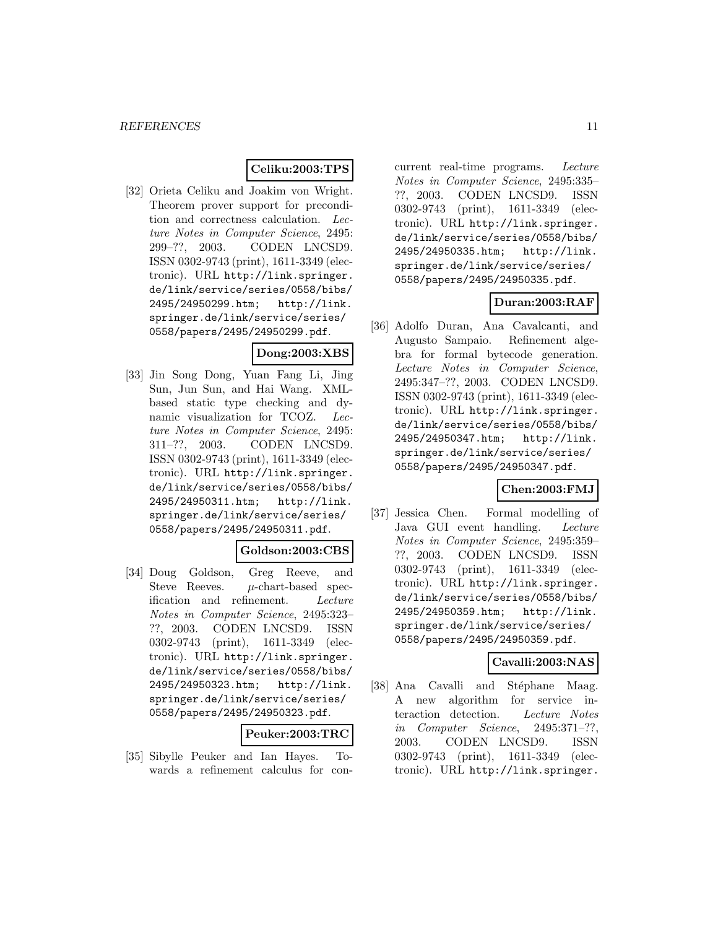# **Celiku:2003:TPS**

[32] Orieta Celiku and Joakim von Wright. Theorem prover support for precondition and correctness calculation. Lecture Notes in Computer Science, 2495: 299–??, 2003. CODEN LNCSD9. ISSN 0302-9743 (print), 1611-3349 (electronic). URL http://link.springer. de/link/service/series/0558/bibs/ 2495/24950299.htm; http://link. springer.de/link/service/series/ 0558/papers/2495/24950299.pdf.

#### **Dong:2003:XBS**

[33] Jin Song Dong, Yuan Fang Li, Jing Sun, Jun Sun, and Hai Wang. XMLbased static type checking and dynamic visualization for TCOZ. Lecture Notes in Computer Science, 2495: 311–??, 2003. CODEN LNCSD9. ISSN 0302-9743 (print), 1611-3349 (electronic). URL http://link.springer. de/link/service/series/0558/bibs/ 2495/24950311.htm; http://link. springer.de/link/service/series/ 0558/papers/2495/24950311.pdf.

# **Goldson:2003:CBS**

[34] Doug Goldson, Greg Reeve, and Steve Reeves.  $\mu$ -chart-based specification and refinement. Lecture Notes in Computer Science, 2495:323– ??, 2003. CODEN LNCSD9. ISSN 0302-9743 (print), 1611-3349 (electronic). URL http://link.springer. de/link/service/series/0558/bibs/ 2495/24950323.htm; http://link. springer.de/link/service/series/ 0558/papers/2495/24950323.pdf.

### **Peuker:2003:TRC**

[35] Sibylle Peuker and Ian Hayes. Towards a refinement calculus for concurrent real-time programs. Lecture Notes in Computer Science, 2495:335– ??, 2003. CODEN LNCSD9. ISSN 0302-9743 (print), 1611-3349 (electronic). URL http://link.springer. de/link/service/series/0558/bibs/ 2495/24950335.htm; http://link. springer.de/link/service/series/ 0558/papers/2495/24950335.pdf.

# **Duran:2003:RAF**

[36] Adolfo Duran, Ana Cavalcanti, and Augusto Sampaio. Refinement algebra for formal bytecode generation. Lecture Notes in Computer Science, 2495:347–??, 2003. CODEN LNCSD9. ISSN 0302-9743 (print), 1611-3349 (electronic). URL http://link.springer. de/link/service/series/0558/bibs/ 2495/24950347.htm; http://link. springer.de/link/service/series/ 0558/papers/2495/24950347.pdf.

# **Chen:2003:FMJ**

[37] Jessica Chen. Formal modelling of Java GUI event handling. Lecture Notes in Computer Science, 2495:359– ??, 2003. CODEN LNCSD9. ISSN 0302-9743 (print), 1611-3349 (electronic). URL http://link.springer. de/link/service/series/0558/bibs/ 2495/24950359.htm; http://link. springer.de/link/service/series/ 0558/papers/2495/24950359.pdf.

#### **Cavalli:2003:NAS**

[38] Ana Cavalli and Stéphane Maag. A new algorithm for service interaction detection. Lecture Notes in Computer Science, 2495:371–??, 2003. CODEN LNCSD9. ISSN 0302-9743 (print), 1611-3349 (electronic). URL http://link.springer.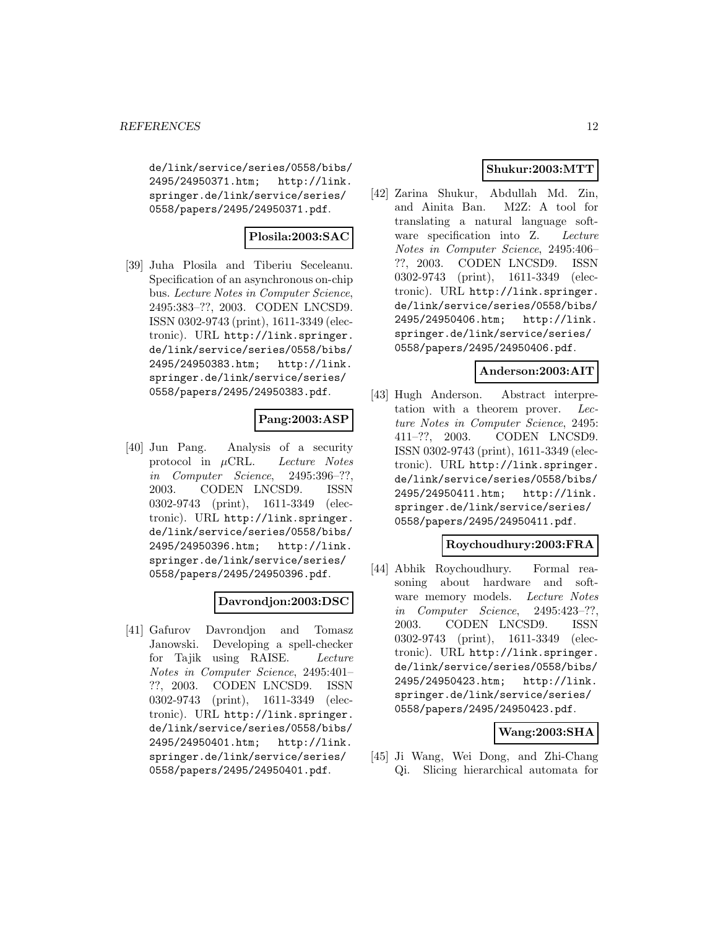de/link/service/series/0558/bibs/ 2495/24950371.htm; http://link. springer.de/link/service/series/ 0558/papers/2495/24950371.pdf.

# **Plosila:2003:SAC**

[39] Juha Plosila and Tiberiu Seceleanu. Specification of an asynchronous on-chip bus. Lecture Notes in Computer Science, 2495:383–??, 2003. CODEN LNCSD9. ISSN 0302-9743 (print), 1611-3349 (electronic). URL http://link.springer. de/link/service/series/0558/bibs/ 2495/24950383.htm; http://link. springer.de/link/service/series/ 0558/papers/2495/24950383.pdf.

# **Pang:2003:ASP**

[40] Jun Pang. Analysis of a security protocol in  $\mu$ CRL. Lecture Notes in Computer Science, 2495:396–??, 2003. CODEN LNCSD9. ISSN 0302-9743 (print), 1611-3349 (electronic). URL http://link.springer. de/link/service/series/0558/bibs/ 2495/24950396.htm; http://link. springer.de/link/service/series/ 0558/papers/2495/24950396.pdf.

# **Davrondjon:2003:DSC**

[41] Gafurov Davrondjon and Tomasz Janowski. Developing a spell-checker for Tajik using RAISE. Lecture Notes in Computer Science, 2495:401–<br>??, 2003. CODEN LNCSD9. ISSN CODEN LNCSD9. ISSN 0302-9743 (print), 1611-3349 (electronic). URL http://link.springer. de/link/service/series/0558/bibs/ 2495/24950401.htm; http://link. springer.de/link/service/series/ 0558/papers/2495/24950401.pdf.

# **Shukur:2003:MTT**

[42] Zarina Shukur, Abdullah Md. Zin, and Ainita Ban. M2Z: A tool for translating a natural language software specification into Z. Lecture Notes in Computer Science, 2495:406– ??, 2003. CODEN LNCSD9. ISSN 0302-9743 (print), 1611-3349 (electronic). URL http://link.springer. de/link/service/series/0558/bibs/ 2495/24950406.htm; http://link. springer.de/link/service/series/ 0558/papers/2495/24950406.pdf.

# **Anderson:2003:AIT**

[43] Hugh Anderson. Abstract interpretation with a theorem prover. Lecture Notes in Computer Science, 2495: 411–??, 2003. CODEN LNCSD9. ISSN 0302-9743 (print), 1611-3349 (electronic). URL http://link.springer. de/link/service/series/0558/bibs/ 2495/24950411.htm; http://link. springer.de/link/service/series/ 0558/papers/2495/24950411.pdf.

# **Roychoudhury:2003:FRA**

[44] Abhik Roychoudhury. Formal reasoning about hardware and software memory models. Lecture Notes in Computer Science, 2495:423–??, 2003. CODEN LNCSD9. ISSN 0302-9743 (print), 1611-3349 (electronic). URL http://link.springer. de/link/service/series/0558/bibs/ 2495/24950423.htm; http://link. springer.de/link/service/series/ 0558/papers/2495/24950423.pdf.

# **Wang:2003:SHA**

[45] Ji Wang, Wei Dong, and Zhi-Chang Qi. Slicing hierarchical automata for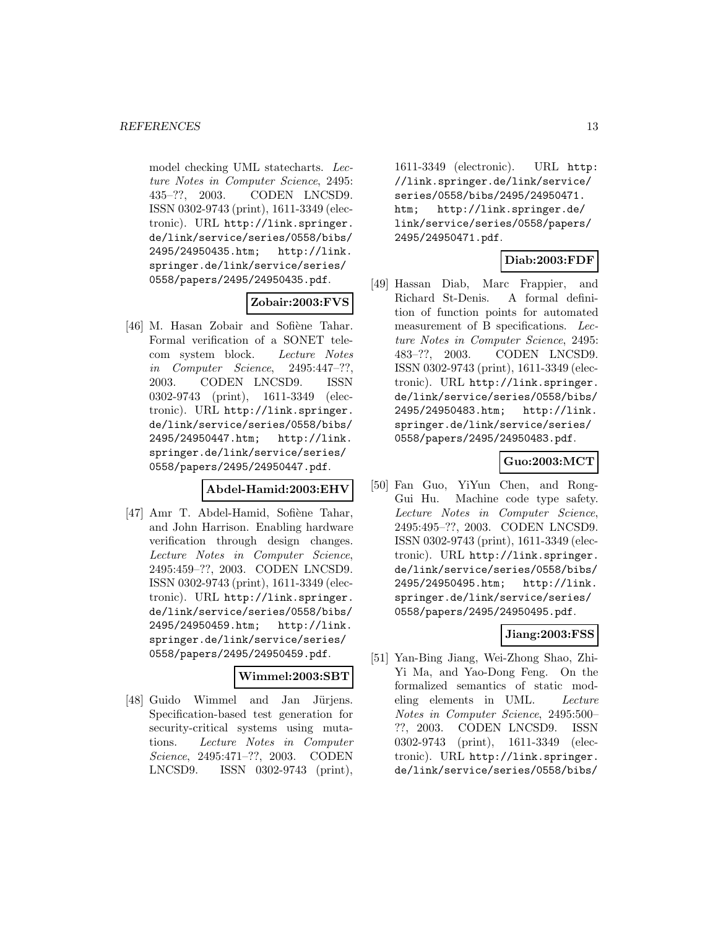model checking UML statecharts. Lecture Notes in Computer Science, 2495: 435–??, 2003. CODEN LNCSD9. ISSN 0302-9743 (print), 1611-3349 (electronic). URL http://link.springer. de/link/service/series/0558/bibs/ 2495/24950435.htm; http://link. springer.de/link/service/series/ 0558/papers/2495/24950435.pdf.

# **Zobair:2003:FVS**

[46] M. Hasan Zobair and Sofiène Tahar. Formal verification of a SONET telecom system block. Lecture Notes in Computer Science, 2495:447–??, 2003. CODEN LNCSD9. ISSN 0302-9743 (print), 1611-3349 (electronic). URL http://link.springer. de/link/service/series/0558/bibs/ 2495/24950447.htm; http://link. springer.de/link/service/series/ 0558/papers/2495/24950447.pdf.

# **Abdel-Hamid:2003:EHV**

[47] Amr T. Abdel-Hamid, Sofiène Tahar, and John Harrison. Enabling hardware verification through design changes. Lecture Notes in Computer Science, 2495:459–??, 2003. CODEN LNCSD9. ISSN 0302-9743 (print), 1611-3349 (electronic). URL http://link.springer. de/link/service/series/0558/bibs/ 2495/24950459.htm; http://link. springer.de/link/service/series/ 0558/papers/2495/24950459.pdf.

# **Wimmel:2003:SBT**

[48] Guido Wimmel and Jan Jürjens. Specification-based test generation for security-critical systems using mutations. Lecture Notes in Computer Science, 2495:471–??, 2003. CODEN LNCSD9. ISSN 0302-9743 (print),

1611-3349 (electronic). URL http: //link.springer.de/link/service/ series/0558/bibs/2495/24950471. htm; http://link.springer.de/ link/service/series/0558/papers/ 2495/24950471.pdf.

# **Diab:2003:FDF**

[49] Hassan Diab, Marc Frappier, and Richard St-Denis. A formal definition of function points for automated measurement of B specifications. Lecture Notes in Computer Science, 2495: 483–??, 2003. CODEN LNCSD9. ISSN 0302-9743 (print), 1611-3349 (electronic). URL http://link.springer. de/link/service/series/0558/bibs/ 2495/24950483.htm; http://link. springer.de/link/service/series/ 0558/papers/2495/24950483.pdf.

### **Guo:2003:MCT**

[50] Fan Guo, YiYun Chen, and Rong-Gui Hu. Machine code type safety. Lecture Notes in Computer Science, 2495:495–??, 2003. CODEN LNCSD9. ISSN 0302-9743 (print), 1611-3349 (electronic). URL http://link.springer. de/link/service/series/0558/bibs/ 2495/24950495.htm; http://link. springer.de/link/service/series/ 0558/papers/2495/24950495.pdf.

# **Jiang:2003:FSS**

[51] Yan-Bing Jiang, Wei-Zhong Shao, Zhi-Yi Ma, and Yao-Dong Feng. On the formalized semantics of static modeling elements in UML. Lecture Notes in Computer Science, 2495:500– ??, 2003. CODEN LNCSD9. ISSN 0302-9743 (print), 1611-3349 (electronic). URL http://link.springer. de/link/service/series/0558/bibs/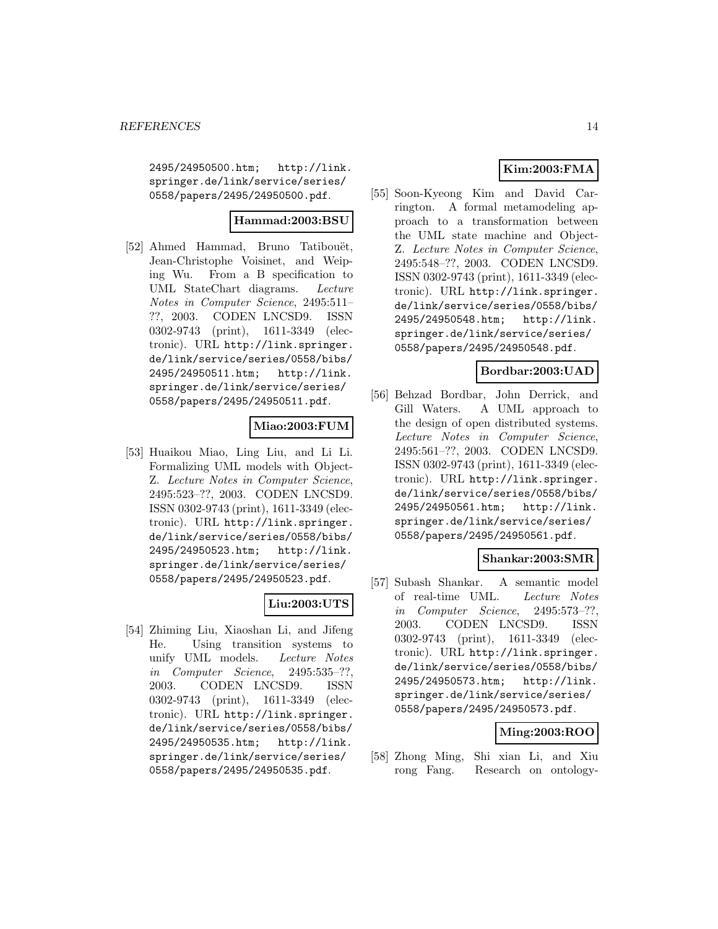2495/24950500.htm; http://link. springer.de/link/service/series/ 0558/papers/2495/24950500.pdf.

### **Hammad:2003:BSU**

[52] Ahmed Hammad, Bruno Tatibouët, Jean-Christophe Voisinet, and Weiping Wu. From a B specification to UML StateChart diagrams. Lecture Notes in Computer Science, 2495:511– ??, 2003. CODEN LNCSD9. ISSN 0302-9743 (print), 1611-3349 (electronic). URL http://link.springer. de/link/service/series/0558/bibs/ 2495/24950511.htm; http://link. springer.de/link/service/series/ 0558/papers/2495/24950511.pdf.

# **Miao:2003:FUM**

[53] Huaikou Miao, Ling Liu, and Li Li. Formalizing UML models with Object-Z. Lecture Notes in Computer Science, 2495:523–??, 2003. CODEN LNCSD9. ISSN 0302-9743 (print), 1611-3349 (electronic). URL http://link.springer. de/link/service/series/0558/bibs/ 2495/24950523.htm; http://link. springer.de/link/service/series/ 0558/papers/2495/24950523.pdf.

# **Liu:2003:UTS**

[54] Zhiming Liu, Xiaoshan Li, and Jifeng He. Using transition systems to unify UML models. Lecture Notes in Computer Science, 2495:535–??, 2003. CODEN LNCSD9. ISSN 0302-9743 (print), 1611-3349 (electronic). URL http://link.springer. de/link/service/series/0558/bibs/ 2495/24950535.htm; http://link. springer.de/link/service/series/ 0558/papers/2495/24950535.pdf.

# **Kim:2003:FMA**

[55] Soon-Kyeong Kim and David Carrington. A formal metamodeling approach to a transformation between the UML state machine and Object-Z. Lecture Notes in Computer Science, 2495:548–??, 2003. CODEN LNCSD9. ISSN 0302-9743 (print), 1611-3349 (electronic). URL http://link.springer. de/link/service/series/0558/bibs/ 2495/24950548.htm; http://link. springer.de/link/service/series/ 0558/papers/2495/24950548.pdf.

# **Bordbar:2003:UAD**

[56] Behzad Bordbar, John Derrick, and Gill Waters. A UML approach to the design of open distributed systems. Lecture Notes in Computer Science, 2495:561–??, 2003. CODEN LNCSD9. ISSN 0302-9743 (print), 1611-3349 (electronic). URL http://link.springer. de/link/service/series/0558/bibs/ 2495/24950561.htm; http://link. springer.de/link/service/series/ 0558/papers/2495/24950561.pdf.

# **Shankar:2003:SMR**

[57] Subash Shankar. A semantic model of real-time UML. Lecture Notes in Computer Science, 2495:573–??, 2003. CODEN LNCSD9. ISSN 0302-9743 (print), 1611-3349 (electronic). URL http://link.springer. de/link/service/series/0558/bibs/ 2495/24950573.htm; http://link. springer.de/link/service/series/ 0558/papers/2495/24950573.pdf.

# **Ming:2003:ROO**

[58] Zhong Ming, Shi xian Li, and Xiu rong Fang. Research on ontology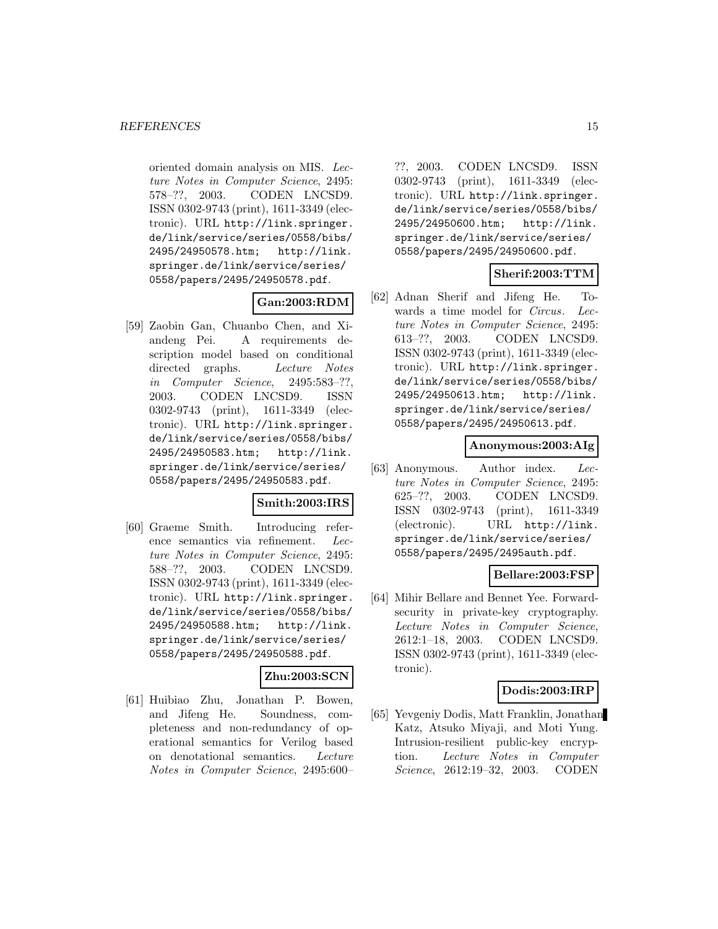oriented domain analysis on MIS. Lecture Notes in Computer Science, 2495: 578–??, 2003. CODEN LNCSD9. ISSN 0302-9743 (print), 1611-3349 (electronic). URL http://link.springer. de/link/service/series/0558/bibs/ 2495/24950578.htm; http://link. springer.de/link/service/series/ 0558/papers/2495/24950578.pdf.

# **Gan:2003:RDM**

[59] Zaobin Gan, Chuanbo Chen, and Xiandeng Pei. A requirements description model based on conditional directed graphs. Lecture Notes in Computer Science, 2495:583–??, 2003. CODEN LNCSD9. ISSN 0302-9743 (print), 1611-3349 (electronic). URL http://link.springer. de/link/service/series/0558/bibs/ 2495/24950583.htm; http://link. springer.de/link/service/series/ 0558/papers/2495/24950583.pdf.

#### **Smith:2003:IRS**

[60] Graeme Smith. Introducing reference semantics via refinement. Lecture Notes in Computer Science, 2495: 588–??, 2003. CODEN LNCSD9. ISSN 0302-9743 (print), 1611-3349 (electronic). URL http://link.springer. de/link/service/series/0558/bibs/ 2495/24950588.htm; http://link. springer.de/link/service/series/ 0558/papers/2495/24950588.pdf.

# **Zhu:2003:SCN**

[61] Huibiao Zhu, Jonathan P. Bowen, and Jifeng He. Soundness, completeness and non-redundancy of operational semantics for Verilog based on denotational semantics. Lecture Notes in Computer Science, 2495:600–

??, 2003. CODEN LNCSD9. ISSN 0302-9743 (print), 1611-3349 (electronic). URL http://link.springer. de/link/service/series/0558/bibs/ 2495/24950600.htm; http://link. springer.de/link/service/series/ 0558/papers/2495/24950600.pdf.

# **Sherif:2003:TTM**

[62] Adnan Sherif and Jifeng He. Towards a time model for Circus. Lecture Notes in Computer Science, 2495: 613–??, 2003. CODEN LNCSD9. ISSN 0302-9743 (print), 1611-3349 (electronic). URL http://link.springer. de/link/service/series/0558/bibs/ 2495/24950613.htm; http://link. springer.de/link/service/series/ 0558/papers/2495/24950613.pdf.

# **Anonymous:2003:AIg**

[63] Anonymous. Author index. Lecture Notes in Computer Science, 2495: 625–??, 2003. CODEN LNCSD9. ISSN 0302-9743 (print), 1611-3349 (electronic). URL http://link. springer.de/link/service/series/ 0558/papers/2495/2495auth.pdf.

#### **Bellare:2003:FSP**

[64] Mihir Bellare and Bennet Yee. Forwardsecurity in private-key cryptography. Lecture Notes in Computer Science, 2612:1–18, 2003. CODEN LNCSD9. ISSN 0302-9743 (print), 1611-3349 (electronic).

#### **Dodis:2003:IRP**

[65] Yevgeniy Dodis, Matt Franklin, Jonathan Katz, Atsuko Miyaji, and Moti Yung. Intrusion-resilient public-key encryption. Lecture Notes in Computer Science, 2612:19–32, 2003. CODEN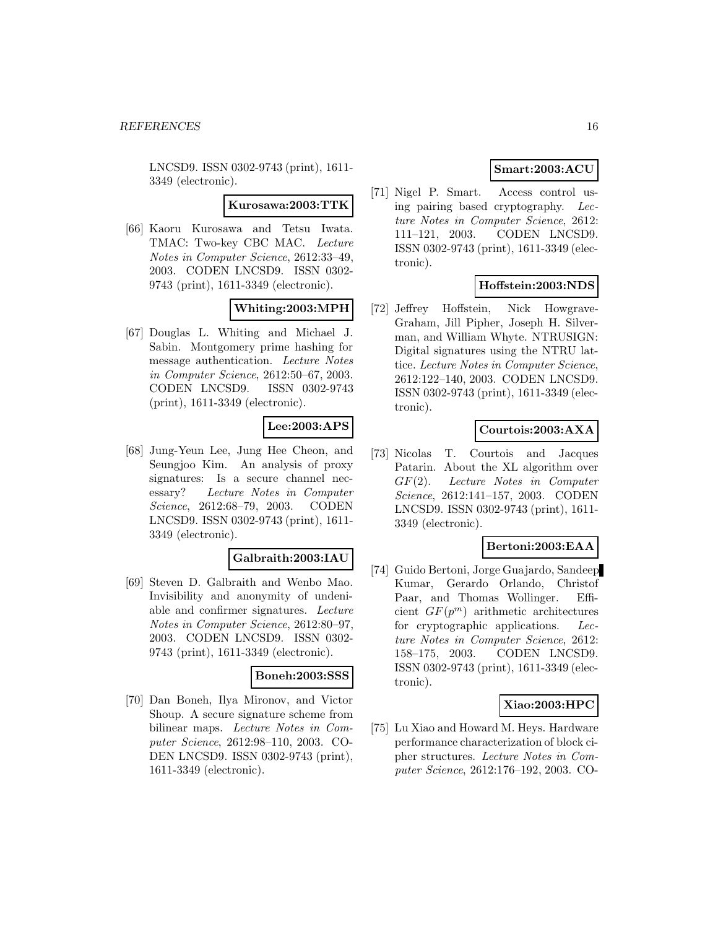LNCSD9. ISSN 0302-9743 (print), 1611- 3349 (electronic).

**Kurosawa:2003:TTK**

[66] Kaoru Kurosawa and Tetsu Iwata. TMAC: Two-key CBC MAC. Lecture Notes in Computer Science, 2612:33–49, 2003. CODEN LNCSD9. ISSN 0302- 9743 (print), 1611-3349 (electronic).

# **Whiting:2003:MPH**

[67] Douglas L. Whiting and Michael J. Sabin. Montgomery prime hashing for message authentication. Lecture Notes in Computer Science, 2612:50–67, 2003. CODEN LNCSD9. ISSN 0302-9743 (print), 1611-3349 (electronic).

# **Lee:2003:APS**

[68] Jung-Yeun Lee, Jung Hee Cheon, and Seungjoo Kim. An analysis of proxy signatures: Is a secure channel necessary? Lecture Notes in Computer Science, 2612:68–79, 2003. CODEN LNCSD9. ISSN 0302-9743 (print), 1611- 3349 (electronic).

# **Galbraith:2003:IAU**

[69] Steven D. Galbraith and Wenbo Mao. Invisibility and anonymity of undeniable and confirmer signatures. Lecture Notes in Computer Science, 2612:80–97, 2003. CODEN LNCSD9. ISSN 0302- 9743 (print), 1611-3349 (electronic).

# **Boneh:2003:SSS**

[70] Dan Boneh, Ilya Mironov, and Victor Shoup. A secure signature scheme from bilinear maps. Lecture Notes in Computer Science, 2612:98–110, 2003. CO-DEN LNCSD9. ISSN 0302-9743 (print), 1611-3349 (electronic).

# **Smart:2003:ACU**

[71] Nigel P. Smart. Access control using pairing based cryptography. Lecture Notes in Computer Science, 2612: 111–121, 2003. CODEN LNCSD9. ISSN 0302-9743 (print), 1611-3349 (electronic).

# **Hoffstein:2003:NDS**

[72] Jeffrey Hoffstein, Nick Howgrave-Graham, Jill Pipher, Joseph H. Silverman, and William Whyte. NTRUSIGN: Digital signatures using the NTRU lattice. Lecture Notes in Computer Science, 2612:122–140, 2003. CODEN LNCSD9. ISSN 0302-9743 (print), 1611-3349 (electronic).

# **Courtois:2003:AXA**

[73] Nicolas T. Courtois and Jacques Patarin. About the XL algorithm over GF(2). Lecture Notes in Computer Science, 2612:141–157, 2003. CODEN LNCSD9. ISSN 0302-9743 (print), 1611- 3349 (electronic).

# **Bertoni:2003:EAA**

[74] Guido Bertoni, Jorge Guajardo, Sandeep Kumar, Gerardo Orlando, Christof Paar, and Thomas Wollinger. Efficient  $GF(p^m)$  arithmetic architectures for cryptographic applications. Lecture Notes in Computer Science, 2612: 158–175, 2003. CODEN LNCSD9. ISSN 0302-9743 (print), 1611-3349 (electronic).

# **Xiao:2003:HPC**

[75] Lu Xiao and Howard M. Heys. Hardware performance characterization of block cipher structures. Lecture Notes in Computer Science, 2612:176–192, 2003. CO-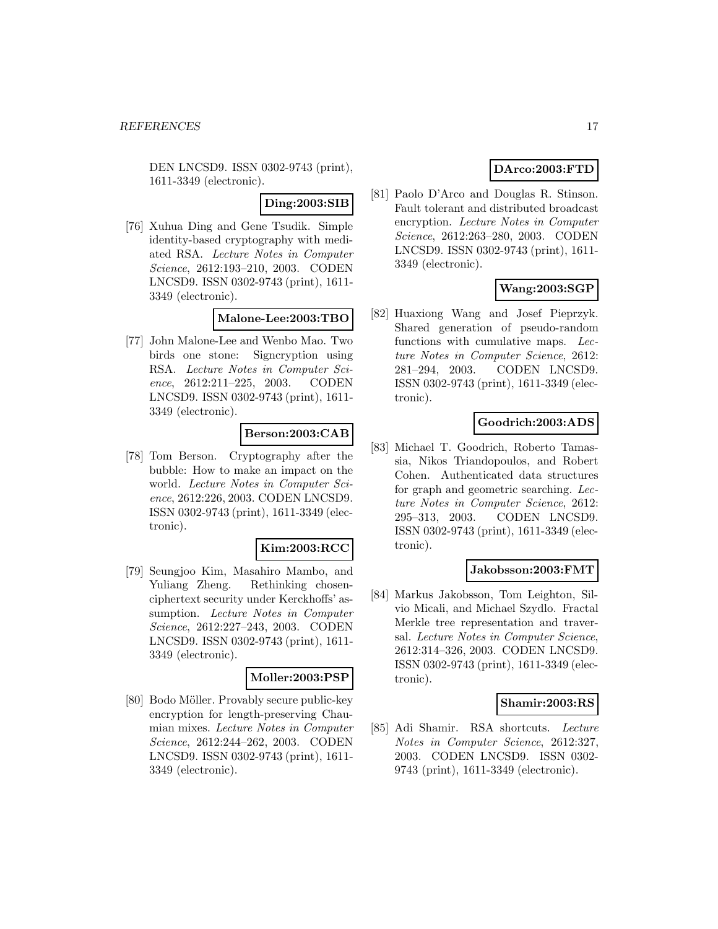DEN LNCSD9. ISSN 0302-9743 (print), 1611-3349 (electronic).

### **Ding:2003:SIB**

[76] Xuhua Ding and Gene Tsudik. Simple identity-based cryptography with mediated RSA. Lecture Notes in Computer Science, 2612:193–210, 2003. CODEN LNCSD9. ISSN 0302-9743 (print), 1611- 3349 (electronic).

### **Malone-Lee:2003:TBO**

[77] John Malone-Lee and Wenbo Mao. Two birds one stone: Signcryption using RSA. Lecture Notes in Computer Science, 2612:211–225, 2003. CODEN LNCSD9. ISSN 0302-9743 (print), 1611- 3349 (electronic).

# **Berson:2003:CAB**

[78] Tom Berson. Cryptography after the bubble: How to make an impact on the world. Lecture Notes in Computer Science, 2612:226, 2003. CODEN LNCSD9. ISSN 0302-9743 (print), 1611-3349 (electronic).

#### **Kim:2003:RCC**

[79] Seungjoo Kim, Masahiro Mambo, and Yuliang Zheng. Rethinking chosenciphertext security under Kerckhoffs' assumption. Lecture Notes in Computer Science, 2612:227–243, 2003. CODEN LNCSD9. ISSN 0302-9743 (print), 1611- 3349 (electronic).

#### **Moller:2003:PSP**

[80] Bodo Möller. Provably secure public-key encryption for length-preserving Chaumian mixes. Lecture Notes in Computer Science, 2612:244–262, 2003. CODEN LNCSD9. ISSN 0302-9743 (print), 1611- 3349 (electronic).

# **DArco:2003:FTD**

[81] Paolo D'Arco and Douglas R. Stinson. Fault tolerant and distributed broadcast encryption. Lecture Notes in Computer Science, 2612:263–280, 2003. CODEN LNCSD9. ISSN 0302-9743 (print), 1611- 3349 (electronic).

# **Wang:2003:SGP**

[82] Huaxiong Wang and Josef Pieprzyk. Shared generation of pseudo-random functions with cumulative maps. Lecture Notes in Computer Science, 2612: 281–294, 2003. CODEN LNCSD9. ISSN 0302-9743 (print), 1611-3349 (electronic).

# **Goodrich:2003:ADS**

[83] Michael T. Goodrich, Roberto Tamassia, Nikos Triandopoulos, and Robert Cohen. Authenticated data structures for graph and geometric searching. Lecture Notes in Computer Science, 2612: 295–313, 2003. CODEN LNCSD9. ISSN 0302-9743 (print), 1611-3349 (electronic).

#### **Jakobsson:2003:FMT**

[84] Markus Jakobsson, Tom Leighton, Silvio Micali, and Michael Szydlo. Fractal Merkle tree representation and traversal. Lecture Notes in Computer Science, 2612:314–326, 2003. CODEN LNCSD9. ISSN 0302-9743 (print), 1611-3349 (electronic).

# **Shamir:2003:RS**

[85] Adi Shamir. RSA shortcuts. Lecture Notes in Computer Science, 2612:327, 2003. CODEN LNCSD9. ISSN 0302- 9743 (print), 1611-3349 (electronic).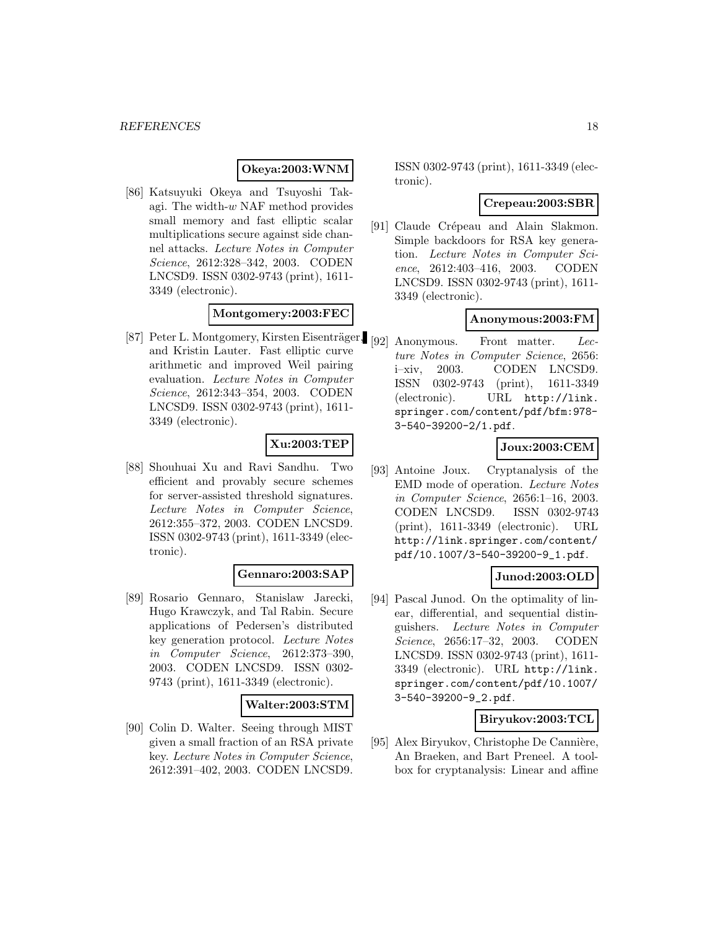#### **Okeya:2003:WNM**

[86] Katsuyuki Okeya and Tsuyoshi Takagi. The width-w NAF method provides small memory and fast elliptic scalar multiplications secure against side channel attacks. Lecture Notes in Computer Science, 2612:328–342, 2003. CODEN LNCSD9. ISSN 0302-9743 (print), 1611- 3349 (electronic).

#### **Montgomery:2003:FEC**

[87] Peter L. Montgomery, Kirsten Eisenträger, [92] Anonymous. Front matter. Lecand Kristin Lauter. Fast elliptic curve arithmetic and improved Weil pairing evaluation. Lecture Notes in Computer Science, 2612:343–354, 2003. CODEN LNCSD9. ISSN 0302-9743 (print), 1611- 3349 (electronic).

# **Xu:2003:TEP**

[88] Shouhuai Xu and Ravi Sandhu. Two efficient and provably secure schemes for server-assisted threshold signatures. Lecture Notes in Computer Science, 2612:355–372, 2003. CODEN LNCSD9. ISSN 0302-9743 (print), 1611-3349 (electronic).

#### **Gennaro:2003:SAP**

[89] Rosario Gennaro, Stanislaw Jarecki, Hugo Krawczyk, and Tal Rabin. Secure applications of Pedersen's distributed key generation protocol. Lecture Notes in Computer Science, 2612:373–390, 2003. CODEN LNCSD9. ISSN 0302- 9743 (print), 1611-3349 (electronic).

#### **Walter:2003:STM**

[90] Colin D. Walter. Seeing through MIST given a small fraction of an RSA private key. Lecture Notes in Computer Science, 2612:391–402, 2003. CODEN LNCSD9.

ISSN 0302-9743 (print), 1611-3349 (electronic).

#### **Crepeau:2003:SBR**

[91] Claude Crépeau and Alain Slakmon. Simple backdoors for RSA key generation. Lecture Notes in Computer Science, 2612:403–416, 2003. CODEN LNCSD9. ISSN 0302-9743 (print), 1611- 3349 (electronic).

#### **Anonymous:2003:FM**

ture Notes in Computer Science, 2656: i–xiv, 2003. CODEN LNCSD9. ISSN 0302-9743 (print), 1611-3349 (electronic). URL http://link. springer.com/content/pdf/bfm:978- 3-540-39200-2/1.pdf.

### **Joux:2003:CEM**

[93] Antoine Joux. Cryptanalysis of the EMD mode of operation. Lecture Notes in Computer Science, 2656:1–16, 2003. CODEN LNCSD9. ISSN 0302-9743 (print), 1611-3349 (electronic). URL http://link.springer.com/content/ pdf/10.1007/3-540-39200-9\_1.pdf.

# **Junod:2003:OLD**

[94] Pascal Junod. On the optimality of linear, differential, and sequential distinguishers. Lecture Notes in Computer Science, 2656:17–32, 2003. CODEN LNCSD9. ISSN 0302-9743 (print), 1611- 3349 (electronic). URL http://link. springer.com/content/pdf/10.1007/ 3-540-39200-9\_2.pdf.

#### **Biryukov:2003:TCL**

[95] Alex Biryukov, Christophe De Cannière, An Braeken, and Bart Preneel. A toolbox for cryptanalysis: Linear and affine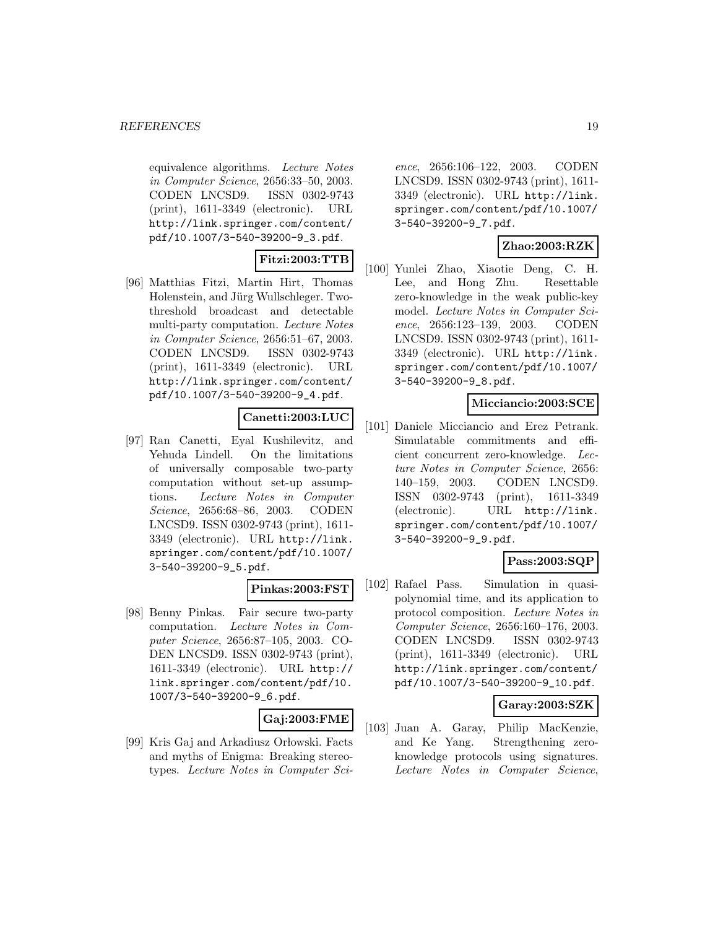equivalence algorithms. Lecture Notes in Computer Science, 2656:33–50, 2003. CODEN LNCSD9. ISSN 0302-9743 (print), 1611-3349 (electronic). URL http://link.springer.com/content/ pdf/10.1007/3-540-39200-9\_3.pdf.

# **Fitzi:2003:TTB**

[96] Matthias Fitzi, Martin Hirt, Thomas Holenstein, and Jürg Wullschleger. Twothreshold broadcast and detectable multi-party computation. Lecture Notes in Computer Science, 2656:51–67, 2003. CODEN LNCSD9. ISSN 0302-9743 (print), 1611-3349 (electronic). URL http://link.springer.com/content/ pdf/10.1007/3-540-39200-9\_4.pdf.

# **Canetti:2003:LUC**

[97] Ran Canetti, Eyal Kushilevitz, and Yehuda Lindell. On the limitations of universally composable two-party computation without set-up assumptions. Lecture Notes in Computer Science, 2656:68–86, 2003. CODEN LNCSD9. ISSN 0302-9743 (print), 1611- 3349 (electronic). URL http://link. springer.com/content/pdf/10.1007/ 3-540-39200-9\_5.pdf.

# **Pinkas:2003:FST**

[98] Benny Pinkas. Fair secure two-party computation. Lecture Notes in Computer Science, 2656:87–105, 2003. CO-DEN LNCSD9. ISSN 0302-9743 (print), 1611-3349 (electronic). URL http:// link.springer.com/content/pdf/10. 1007/3-540-39200-9\_6.pdf.

# **Gaj:2003:FME**

[99] Kris Gaj and Arkadiusz Orłowski. Facts and myths of Enigma: Breaking stereotypes. Lecture Notes in Computer Sci-

ence, 2656:106–122, 2003. CODEN LNCSD9. ISSN 0302-9743 (print), 1611- 3349 (electronic). URL http://link. springer.com/content/pdf/10.1007/ 3-540-39200-9\_7.pdf.

# **Zhao:2003:RZK**

[100] Yunlei Zhao, Xiaotie Deng, C. H. Lee, and Hong Zhu. Resettable zero-knowledge in the weak public-key model. Lecture Notes in Computer Science, 2656:123–139, 2003. CODEN LNCSD9. ISSN 0302-9743 (print), 1611- 3349 (electronic). URL http://link. springer.com/content/pdf/10.1007/ 3-540-39200-9\_8.pdf.

# **Micciancio:2003:SCE**

[101] Daniele Micciancio and Erez Petrank. Simulatable commitments and efficient concurrent zero-knowledge. Lecture Notes in Computer Science, 2656: 140–159, 2003. CODEN LNCSD9. ISSN 0302-9743 (print), 1611-3349 (electronic). URL http://link. springer.com/content/pdf/10.1007/ 3-540-39200-9\_9.pdf.

# **Pass:2003:SQP**

[102] Rafael Pass. Simulation in quasipolynomial time, and its application to protocol composition. Lecture Notes in Computer Science, 2656:160–176, 2003. CODEN LNCSD9. ISSN 0302-9743 (print), 1611-3349 (electronic). URL http://link.springer.com/content/ pdf/10.1007/3-540-39200-9\_10.pdf.

#### **Garay:2003:SZK**

[103] Juan A. Garay, Philip MacKenzie, and Ke Yang. Strengthening zeroknowledge protocols using signatures. Lecture Notes in Computer Science,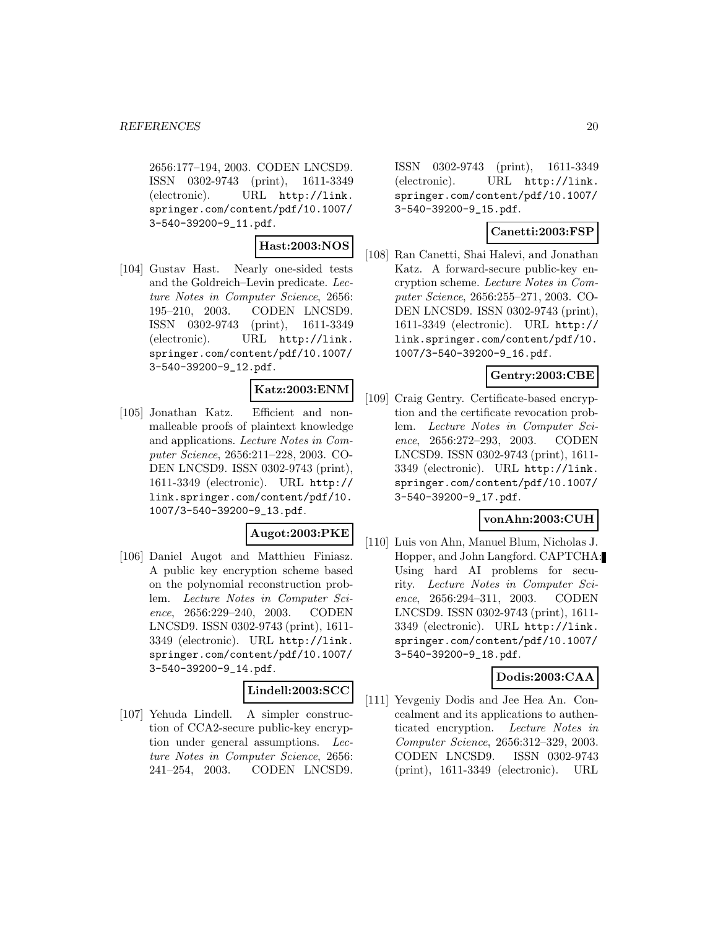2656:177–194, 2003. CODEN LNCSD9. ISSN 0302-9743 (print), 1611-3349 (electronic). URL http://link. springer.com/content/pdf/10.1007/ 3-540-39200-9\_11.pdf.

### **Hast:2003:NOS**

[104] Gustav Hast. Nearly one-sided tests and the Goldreich–Levin predicate. Lecture Notes in Computer Science, 2656: 195–210, 2003. CODEN LNCSD9. ISSN 0302-9743 (print), 1611-3349 (electronic). URL http://link. springer.com/content/pdf/10.1007/ 3-540-39200-9\_12.pdf.

# **Katz:2003:ENM**

[105] Jonathan Katz. Efficient and nonmalleable proofs of plaintext knowledge and applications. Lecture Notes in Computer Science, 2656:211–228, 2003. CO-DEN LNCSD9. ISSN 0302-9743 (print), 1611-3349 (electronic). URL http:// link.springer.com/content/pdf/10. 1007/3-540-39200-9\_13.pdf.

# **Augot:2003:PKE**

[106] Daniel Augot and Matthieu Finiasz. A public key encryption scheme based on the polynomial reconstruction problem. Lecture Notes in Computer Science, 2656:229–240, 2003. CODEN LNCSD9. ISSN 0302-9743 (print), 1611- 3349 (electronic). URL http://link. springer.com/content/pdf/10.1007/ 3-540-39200-9\_14.pdf.

# **Lindell:2003:SCC**

[107] Yehuda Lindell. A simpler construction of CCA2-secure public-key encryption under general assumptions. Lecture Notes in Computer Science, 2656: 241–254, 2003. CODEN LNCSD9.

ISSN 0302-9743 (print), 1611-3349 (electronic). URL http://link. springer.com/content/pdf/10.1007/ 3-540-39200-9\_15.pdf.

# **Canetti:2003:FSP**

[108] Ran Canetti, Shai Halevi, and Jonathan Katz. A forward-secure public-key encryption scheme. Lecture Notes in Computer Science, 2656:255–271, 2003. CO-DEN LNCSD9. ISSN 0302-9743 (print), 1611-3349 (electronic). URL http:// link.springer.com/content/pdf/10. 1007/3-540-39200-9\_16.pdf.

# **Gentry:2003:CBE**

[109] Craig Gentry. Certificate-based encryption and the certificate revocation problem. Lecture Notes in Computer Science, 2656:272–293, 2003. CODEN LNCSD9. ISSN 0302-9743 (print), 1611- 3349 (electronic). URL http://link. springer.com/content/pdf/10.1007/ 3-540-39200-9\_17.pdf.

#### **vonAhn:2003:CUH**

[110] Luis von Ahn, Manuel Blum, Nicholas J. Hopper, and John Langford. CAPTCHA: Using hard AI problems for security. Lecture Notes in Computer Science, 2656:294–311, 2003. CODEN LNCSD9. ISSN 0302-9743 (print), 1611- 3349 (electronic). URL http://link. springer.com/content/pdf/10.1007/ 3-540-39200-9\_18.pdf.

# **Dodis:2003:CAA**

[111] Yevgeniy Dodis and Jee Hea An. Concealment and its applications to authenticated encryption. Lecture Notes in Computer Science, 2656:312–329, 2003. CODEN LNCSD9. ISSN 0302-9743 (print), 1611-3349 (electronic). URL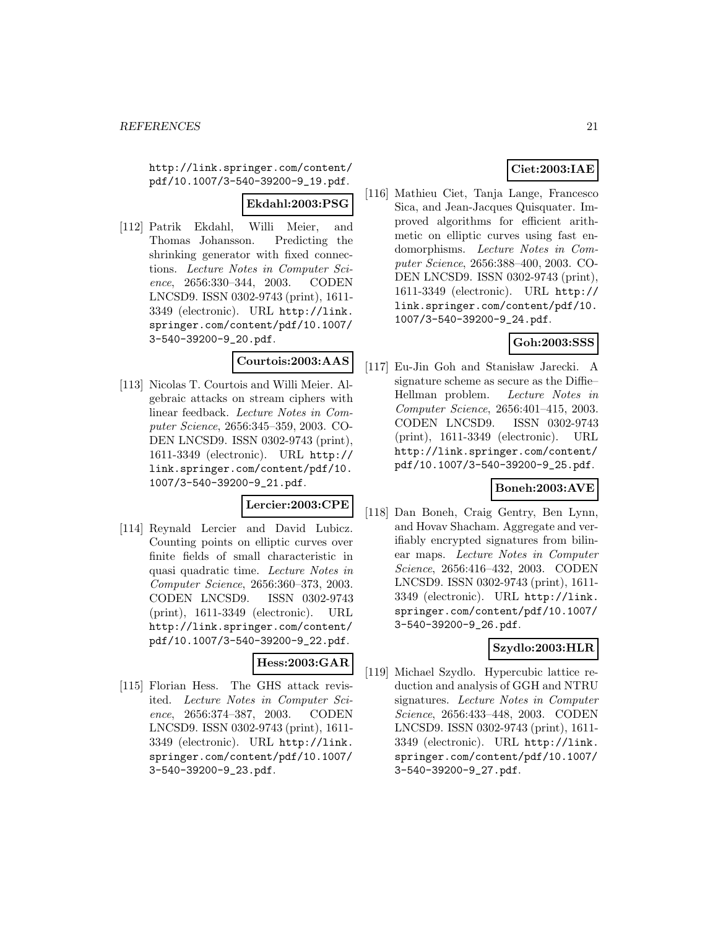http://link.springer.com/content/ pdf/10.1007/3-540-39200-9\_19.pdf.

#### **Ekdahl:2003:PSG**

[112] Patrik Ekdahl, Willi Meier, and Thomas Johansson. Predicting the shrinking generator with fixed connections. Lecture Notes in Computer Science, 2656:330–344, 2003. CODEN LNCSD9. ISSN 0302-9743 (print), 1611- 3349 (electronic). URL http://link. springer.com/content/pdf/10.1007/ 3-540-39200-9\_20.pdf.

# **Courtois:2003:AAS**

[113] Nicolas T. Courtois and Willi Meier. Algebraic attacks on stream ciphers with linear feedback. Lecture Notes in Computer Science, 2656:345–359, 2003. CO-DEN LNCSD9. ISSN 0302-9743 (print), 1611-3349 (electronic). URL http:// link.springer.com/content/pdf/10. 1007/3-540-39200-9\_21.pdf.

### **Lercier:2003:CPE**

[114] Reynald Lercier and David Lubicz. Counting points on elliptic curves over finite fields of small characteristic in quasi quadratic time. Lecture Notes in Computer Science, 2656:360–373, 2003. CODEN LNCSD9. ISSN 0302-9743 (print), 1611-3349 (electronic). URL http://link.springer.com/content/ pdf/10.1007/3-540-39200-9\_22.pdf.

#### **Hess:2003:GAR**

[115] Florian Hess. The GHS attack revisited. Lecture Notes in Computer Science, 2656:374–387, 2003. CODEN LNCSD9. ISSN 0302-9743 (print), 1611- 3349 (electronic). URL http://link. springer.com/content/pdf/10.1007/ 3-540-39200-9\_23.pdf.

# **Ciet:2003:IAE**

[116] Mathieu Ciet, Tanja Lange, Francesco Sica, and Jean-Jacques Quisquater. Improved algorithms for efficient arithmetic on elliptic curves using fast endomorphisms. Lecture Notes in Computer Science, 2656:388–400, 2003. CO-DEN LNCSD9. ISSN 0302-9743 (print), 1611-3349 (electronic). URL http:// link.springer.com/content/pdf/10. 1007/3-540-39200-9\_24.pdf.

# **Goh:2003:SSS**

[117] Eu-Jin Goh and Stanisław Jarecki. A signature scheme as secure as the Diffie– Hellman problem. Lecture Notes in Computer Science, 2656:401–415, 2003. CODEN LNCSD9. ISSN 0302-9743 (print), 1611-3349 (electronic). URL http://link.springer.com/content/ pdf/10.1007/3-540-39200-9\_25.pdf.

#### **Boneh:2003:AVE**

[118] Dan Boneh, Craig Gentry, Ben Lynn, and Hovav Shacham. Aggregate and verifiably encrypted signatures from bilinear maps. Lecture Notes in Computer Science, 2656:416–432, 2003. CODEN LNCSD9. ISSN 0302-9743 (print), 1611- 3349 (electronic). URL http://link. springer.com/content/pdf/10.1007/ 3-540-39200-9\_26.pdf.

# **Szydlo:2003:HLR**

[119] Michael Szydlo. Hypercubic lattice reduction and analysis of GGH and NTRU signatures. Lecture Notes in Computer Science, 2656:433–448, 2003. CODEN LNCSD9. ISSN 0302-9743 (print), 1611- 3349 (electronic). URL http://link. springer.com/content/pdf/10.1007/ 3-540-39200-9\_27.pdf.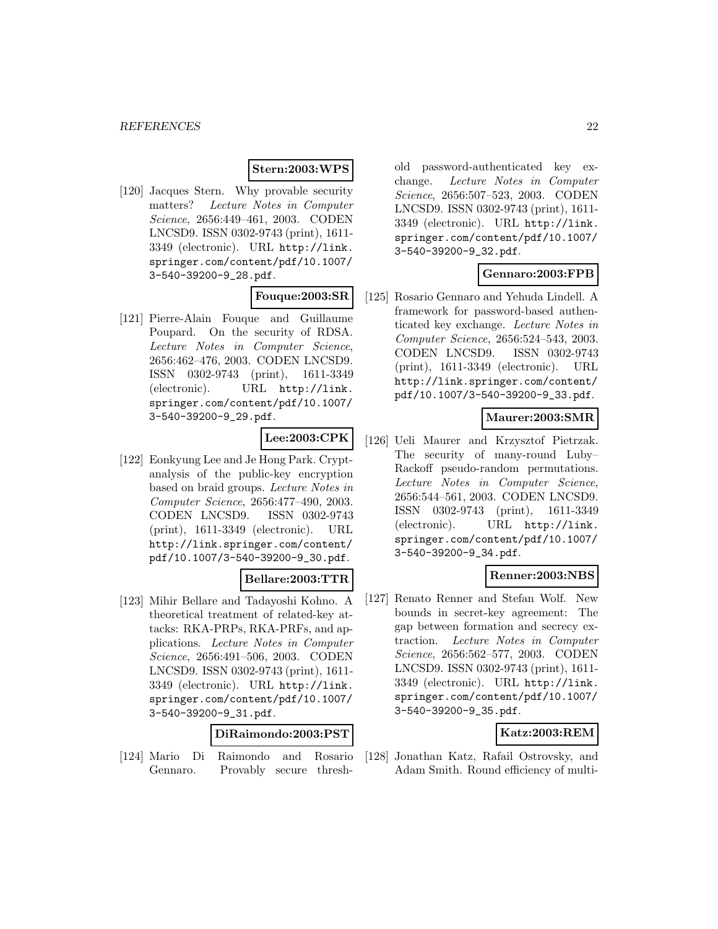# **Stern:2003:WPS**

[120] Jacques Stern. Why provable security matters? Lecture Notes in Computer Science, 2656:449–461, 2003. CODEN LNCSD9. ISSN 0302-9743 (print), 1611- 3349 (electronic). URL http://link. springer.com/content/pdf/10.1007/ 3-540-39200-9\_28.pdf.

#### **Fouque:2003:SR**

[121] Pierre-Alain Fouque and Guillaume Poupard. On the security of RDSA. Lecture Notes in Computer Science, 2656:462–476, 2003. CODEN LNCSD9. ISSN 0302-9743 (print), 1611-3349 (electronic). URL http://link. springer.com/content/pdf/10.1007/ 3-540-39200-9\_29.pdf.

# **Lee:2003:CPK**

[122] Eonkyung Lee and Je Hong Park. Cryptanalysis of the public-key encryption based on braid groups. Lecture Notes in Computer Science, 2656:477–490, 2003. CODEN LNCSD9. ISSN 0302-9743 (print), 1611-3349 (electronic). URL http://link.springer.com/content/ pdf/10.1007/3-540-39200-9\_30.pdf.

### **Bellare:2003:TTR**

[123] Mihir Bellare and Tadayoshi Kohno. A theoretical treatment of related-key attacks: RKA-PRPs, RKA-PRFs, and applications. Lecture Notes in Computer Science, 2656:491–506, 2003. CODEN LNCSD9. ISSN 0302-9743 (print), 1611- 3349 (electronic). URL http://link. springer.com/content/pdf/10.1007/ 3-540-39200-9\_31.pdf.

#### **DiRaimondo:2003:PST**

[124] Mario Di Raimondo and Rosario Gennaro. Provably secure threshold password-authenticated key exchange. Lecture Notes in Computer Science, 2656:507–523, 2003. CODEN LNCSD9. ISSN 0302-9743 (print), 1611- 3349 (electronic). URL http://link. springer.com/content/pdf/10.1007/ 3-540-39200-9\_32.pdf.

# **Gennaro:2003:FPB**

[125] Rosario Gennaro and Yehuda Lindell. A framework for password-based authenticated key exchange. Lecture Notes in Computer Science, 2656:524–543, 2003. CODEN LNCSD9. ISSN 0302-9743 (print), 1611-3349 (electronic). URL http://link.springer.com/content/ pdf/10.1007/3-540-39200-9\_33.pdf.

### **Maurer:2003:SMR**

[126] Ueli Maurer and Krzysztof Pietrzak. The security of many-round Luby– Rackoff pseudo-random permutations. Lecture Notes in Computer Science, 2656:544–561, 2003. CODEN LNCSD9. ISSN 0302-9743 (print), 1611-3349 (electronic). URL http://link. springer.com/content/pdf/10.1007/ 3-540-39200-9\_34.pdf.

# **Renner:2003:NBS**

[127] Renato Renner and Stefan Wolf. New bounds in secret-key agreement: The gap between formation and secrecy extraction. Lecture Notes in Computer Science, 2656:562–577, 2003. CODEN LNCSD9. ISSN 0302-9743 (print), 1611- 3349 (electronic). URL http://link. springer.com/content/pdf/10.1007/ 3-540-39200-9\_35.pdf.

#### **Katz:2003:REM**

[128] Jonathan Katz, Rafail Ostrovsky, and Adam Smith. Round efficiency of multi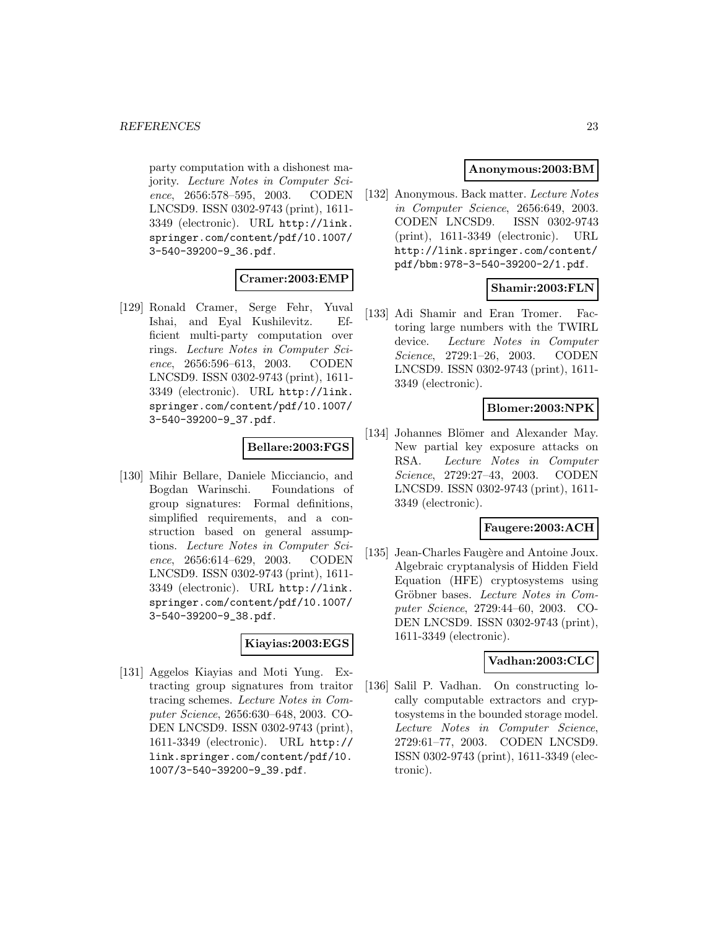party computation with a dishonest majority. Lecture Notes in Computer Science, 2656:578–595, 2003. CODEN LNCSD9. ISSN 0302-9743 (print), 1611- 3349 (electronic). URL http://link. springer.com/content/pdf/10.1007/ 3-540-39200-9\_36.pdf.

### **Cramer:2003:EMP**

[129] Ronald Cramer, Serge Fehr, Yuval Ishai, and Eyal Kushilevitz. Efficient multi-party computation over rings. Lecture Notes in Computer Science, 2656:596–613, 2003. CODEN LNCSD9. ISSN 0302-9743 (print), 1611- 3349 (electronic). URL http://link. springer.com/content/pdf/10.1007/ 3-540-39200-9\_37.pdf.

# **Bellare:2003:FGS**

[130] Mihir Bellare, Daniele Micciancio, and Bogdan Warinschi. Foundations of group signatures: Formal definitions, simplified requirements, and a construction based on general assumptions. Lecture Notes in Computer Science, 2656:614–629, 2003. CODEN LNCSD9. ISSN 0302-9743 (print), 1611- 3349 (electronic). URL http://link. springer.com/content/pdf/10.1007/ 3-540-39200-9\_38.pdf.

#### **Kiayias:2003:EGS**

[131] Aggelos Kiayias and Moti Yung. Extracting group signatures from traitor tracing schemes. Lecture Notes in Computer Science, 2656:630–648, 2003. CO-DEN LNCSD9. ISSN 0302-9743 (print), 1611-3349 (electronic). URL http:// link.springer.com/content/pdf/10. 1007/3-540-39200-9\_39.pdf.

# **Anonymous:2003:BM**

[132] Anonymous. Back matter. Lecture Notes in Computer Science, 2656:649, 2003. CODEN LNCSD9. ISSN 0302-9743 (print), 1611-3349 (electronic). URL http://link.springer.com/content/ pdf/bbm:978-3-540-39200-2/1.pdf.

# **Shamir:2003:FLN**

[133] Adi Shamir and Eran Tromer. Factoring large numbers with the TWIRL device. Lecture Notes in Computer Science, 2729:1–26, 2003. CODEN LNCSD9. ISSN 0302-9743 (print), 1611- 3349 (electronic).

# **Blomer:2003:NPK**

[134] Johannes Blömer and Alexander May. New partial key exposure attacks on RSA. Lecture Notes in Computer Science, 2729:27–43, 2003. CODEN LNCSD9. ISSN 0302-9743 (print), 1611- 3349 (electronic).

# **Faugere:2003:ACH**

[135] Jean-Charles Faugère and Antoine Joux. Algebraic cryptanalysis of Hidden Field Equation (HFE) cryptosystems using Gröbner bases. Lecture Notes in Computer Science, 2729:44–60, 2003. CO-DEN LNCSD9. ISSN 0302-9743 (print), 1611-3349 (electronic).

#### **Vadhan:2003:CLC**

[136] Salil P. Vadhan. On constructing locally computable extractors and cryptosystems in the bounded storage model. Lecture Notes in Computer Science, 2729:61–77, 2003. CODEN LNCSD9. ISSN 0302-9743 (print), 1611-3349 (electronic).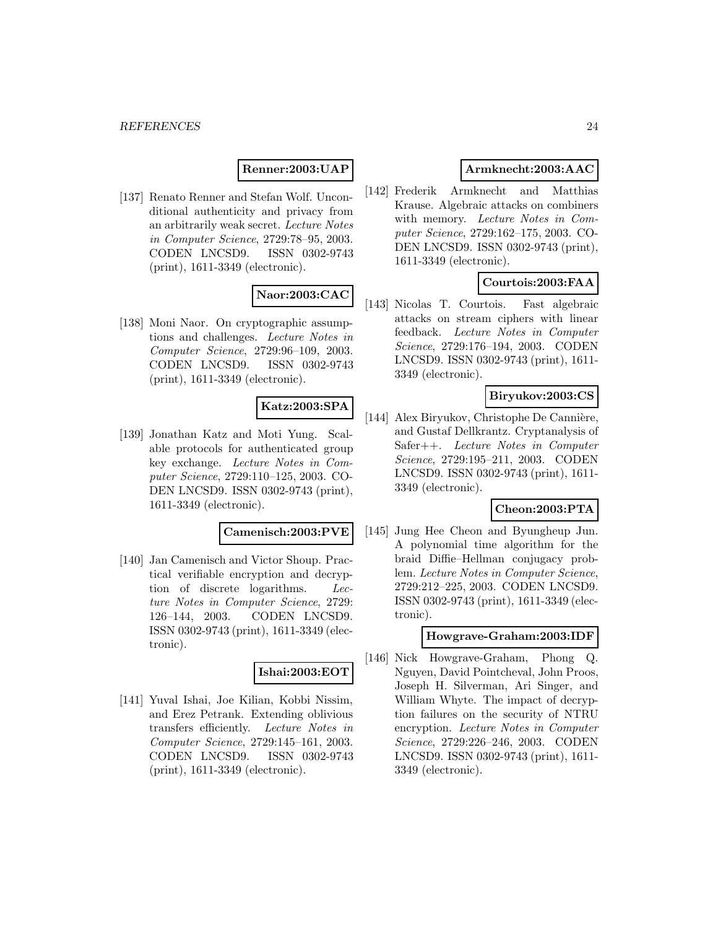#### **Renner:2003:UAP**

[137] Renato Renner and Stefan Wolf. Unconditional authenticity and privacy from an arbitrarily weak secret. Lecture Notes in Computer Science, 2729:78–95, 2003. CODEN LNCSD9. ISSN 0302-9743 (print), 1611-3349 (electronic).

# **Naor:2003:CAC**

[138] Moni Naor. On cryptographic assumptions and challenges. Lecture Notes in Computer Science, 2729:96–109, 2003. CODEN LNCSD9. ISSN 0302-9743 (print), 1611-3349 (electronic).

# **Katz:2003:SPA**

[139] Jonathan Katz and Moti Yung. Scalable protocols for authenticated group key exchange. Lecture Notes in Computer Science, 2729:110–125, 2003. CO-DEN LNCSD9. ISSN 0302-9743 (print), 1611-3349 (electronic).

#### **Camenisch:2003:PVE**

[140] Jan Camenisch and Victor Shoup. Practical verifiable encryption and decryption of discrete logarithms. Lecture Notes in Computer Science, 2729: 126–144, 2003. CODEN LNCSD9. ISSN 0302-9743 (print), 1611-3349 (electronic).

#### **Ishai:2003:EOT**

[141] Yuval Ishai, Joe Kilian, Kobbi Nissim, and Erez Petrank. Extending oblivious transfers efficiently. Lecture Notes in Computer Science, 2729:145–161, 2003. CODEN LNCSD9. ISSN 0302-9743 (print), 1611-3349 (electronic).

### **Armknecht:2003:AAC**

[142] Frederik Armknecht and Matthias Krause. Algebraic attacks on combiners with memory. Lecture Notes in Computer Science, 2729:162–175, 2003. CO-DEN LNCSD9. ISSN 0302-9743 (print), 1611-3349 (electronic).

### **Courtois:2003:FAA**

[143] Nicolas T. Courtois. Fast algebraic attacks on stream ciphers with linear feedback. Lecture Notes in Computer Science, 2729:176–194, 2003. CODEN LNCSD9. ISSN 0302-9743 (print), 1611- 3349 (electronic).

#### **Biryukov:2003:CS**

[144] Alex Biryukov, Christophe De Cannière, and Gustaf Dellkrantz. Cryptanalysis of Safer++. Lecture Notes in Computer Science, 2729:195–211, 2003. CODEN LNCSD9. ISSN 0302-9743 (print), 1611- 3349 (electronic).

### **Cheon:2003:PTA**

[145] Jung Hee Cheon and Byungheup Jun. A polynomial time algorithm for the braid Diffie–Hellman conjugacy problem. Lecture Notes in Computer Science, 2729:212–225, 2003. CODEN LNCSD9. ISSN 0302-9743 (print), 1611-3349 (electronic).

#### **Howgrave-Graham:2003:IDF**

[146] Nick Howgrave-Graham, Phong Q. Nguyen, David Pointcheval, John Proos, Joseph H. Silverman, Ari Singer, and William Whyte. The impact of decryption failures on the security of NTRU encryption. Lecture Notes in Computer Science, 2729:226–246, 2003. CODEN LNCSD9. ISSN 0302-9743 (print), 1611- 3349 (electronic).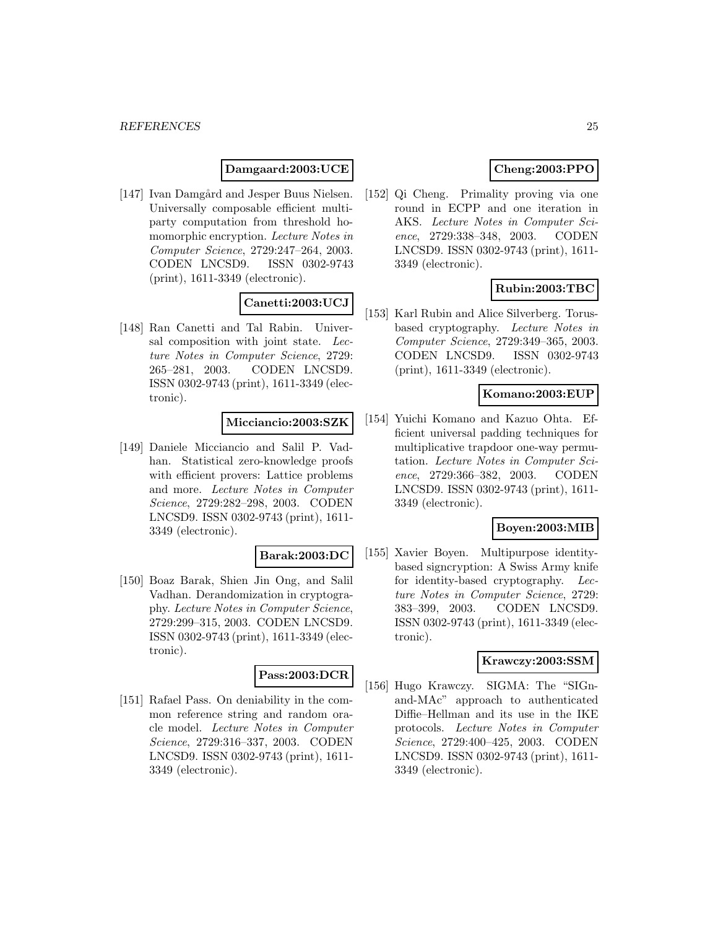### **Damgaard:2003:UCE**

[147] Ivan Damgård and Jesper Buus Nielsen. Universally composable efficient multiparty computation from threshold homomorphic encryption. Lecture Notes in Computer Science, 2729:247–264, 2003. CODEN LNCSD9. ISSN 0302-9743 (print), 1611-3349 (electronic).

# **Canetti:2003:UCJ**

[148] Ran Canetti and Tal Rabin. Universal composition with joint state. Lecture Notes in Computer Science, 2729: 265–281, 2003. CODEN LNCSD9. ISSN 0302-9743 (print), 1611-3349 (electronic).

### **Micciancio:2003:SZK**

[149] Daniele Micciancio and Salil P. Vadhan. Statistical zero-knowledge proofs with efficient provers: Lattice problems and more. Lecture Notes in Computer Science, 2729:282–298, 2003. CODEN LNCSD9. ISSN 0302-9743 (print), 1611- 3349 (electronic).

#### **Barak:2003:DC**

[150] Boaz Barak, Shien Jin Ong, and Salil Vadhan. Derandomization in cryptography. Lecture Notes in Computer Science, 2729:299–315, 2003. CODEN LNCSD9. ISSN 0302-9743 (print), 1611-3349 (electronic).

#### **Pass:2003:DCR**

[151] Rafael Pass. On deniability in the common reference string and random oracle model. Lecture Notes in Computer Science, 2729:316–337, 2003. CODEN LNCSD9. ISSN 0302-9743 (print), 1611- 3349 (electronic).

# **Cheng:2003:PPO**

[152] Qi Cheng. Primality proving via one round in ECPP and one iteration in AKS. Lecture Notes in Computer Science, 2729:338–348, 2003. CODEN LNCSD9. ISSN 0302-9743 (print), 1611- 3349 (electronic).

# **Rubin:2003:TBC**

[153] Karl Rubin and Alice Silverberg. Torusbased cryptography. Lecture Notes in Computer Science, 2729:349–365, 2003. CODEN LNCSD9. ISSN 0302-9743 (print), 1611-3349 (electronic).

#### **Komano:2003:EUP**

[154] Yuichi Komano and Kazuo Ohta. Efficient universal padding techniques for multiplicative trapdoor one-way permutation. Lecture Notes in Computer Science, 2729:366–382, 2003. CODEN LNCSD9. ISSN 0302-9743 (print), 1611- 3349 (electronic).

#### **Boyen:2003:MIB**

[155] Xavier Boyen. Multipurpose identitybased signcryption: A Swiss Army knife for identity-based cryptography. Lecture Notes in Computer Science, 2729: 383–399, 2003. CODEN LNCSD9. ISSN 0302-9743 (print), 1611-3349 (electronic).

#### **Krawczy:2003:SSM**

[156] Hugo Krawczy. SIGMA: The "SIGnand-MAc" approach to authenticated Diffie–Hellman and its use in the IKE protocols. Lecture Notes in Computer Science, 2729:400–425, 2003. CODEN LNCSD9. ISSN 0302-9743 (print), 1611- 3349 (electronic).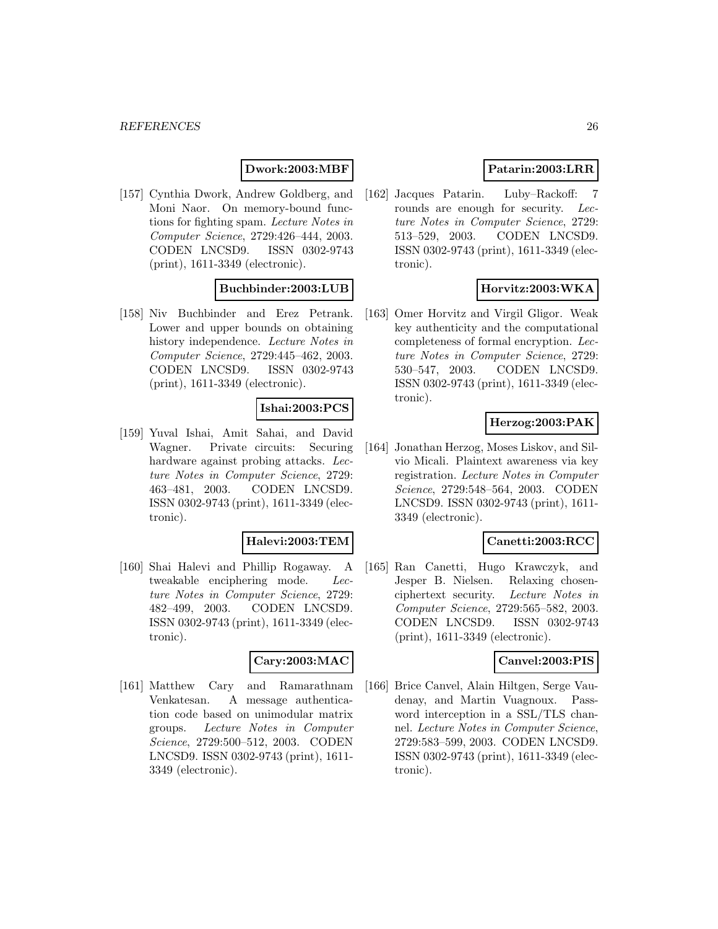# **Dwork:2003:MBF**

[157] Cynthia Dwork, Andrew Goldberg, and Moni Naor. On memory-bound functions for fighting spam. Lecture Notes in Computer Science, 2729:426–444, 2003. CODEN LNCSD9. ISSN 0302-9743 (print), 1611-3349 (electronic).

# **Buchbinder:2003:LUB**

[158] Niv Buchbinder and Erez Petrank. Lower and upper bounds on obtaining history independence. Lecture Notes in Computer Science, 2729:445–462, 2003. CODEN LNCSD9. ISSN 0302-9743 (print), 1611-3349 (electronic).

### **Ishai:2003:PCS**

[159] Yuval Ishai, Amit Sahai, and David Wagner. Private circuits: Securing hardware against probing attacks. Lecture Notes in Computer Science, 2729: 463–481, 2003. CODEN LNCSD9. ISSN 0302-9743 (print), 1611-3349 (electronic).

#### **Halevi:2003:TEM**

[160] Shai Halevi and Phillip Rogaway. A tweakable enciphering mode. Lecture Notes in Computer Science, 2729: 482–499, 2003. CODEN LNCSD9. ISSN 0302-9743 (print), 1611-3349 (electronic).

#### **Cary:2003:MAC**

[161] Matthew Cary and Ramarathnam Venkatesan. A message authentication code based on unimodular matrix groups. Lecture Notes in Computer Science, 2729:500–512, 2003. CODEN LNCSD9. ISSN 0302-9743 (print), 1611- 3349 (electronic).

# **Patarin:2003:LRR**

[162] Jacques Patarin. Luby–Rackoff: 7 rounds are enough for security. Lecture Notes in Computer Science, 2729: 513–529, 2003. CODEN LNCSD9. ISSN 0302-9743 (print), 1611-3349 (electronic).

### **Horvitz:2003:WKA**

[163] Omer Horvitz and Virgil Gligor. Weak key authenticity and the computational completeness of formal encryption. Lecture Notes in Computer Science, 2729: 530–547, 2003. CODEN LNCSD9. ISSN 0302-9743 (print), 1611-3349 (electronic).

# **Herzog:2003:PAK**

[164] Jonathan Herzog, Moses Liskov, and Silvio Micali. Plaintext awareness via key registration. Lecture Notes in Computer Science, 2729:548–564, 2003. CODEN LNCSD9. ISSN 0302-9743 (print), 1611- 3349 (electronic).

# **Canetti:2003:RCC**

[165] Ran Canetti, Hugo Krawczyk, and Jesper B. Nielsen. Relaxing chosenciphertext security. Lecture Notes in Computer Science, 2729:565–582, 2003. CODEN LNCSD9. ISSN 0302-9743 (print), 1611-3349 (electronic).

#### **Canvel:2003:PIS**

[166] Brice Canvel, Alain Hiltgen, Serge Vaudenay, and Martin Vuagnoux. Password interception in a SSL/TLS channel. Lecture Notes in Computer Science, 2729:583–599, 2003. CODEN LNCSD9. ISSN 0302-9743 (print), 1611-3349 (electronic).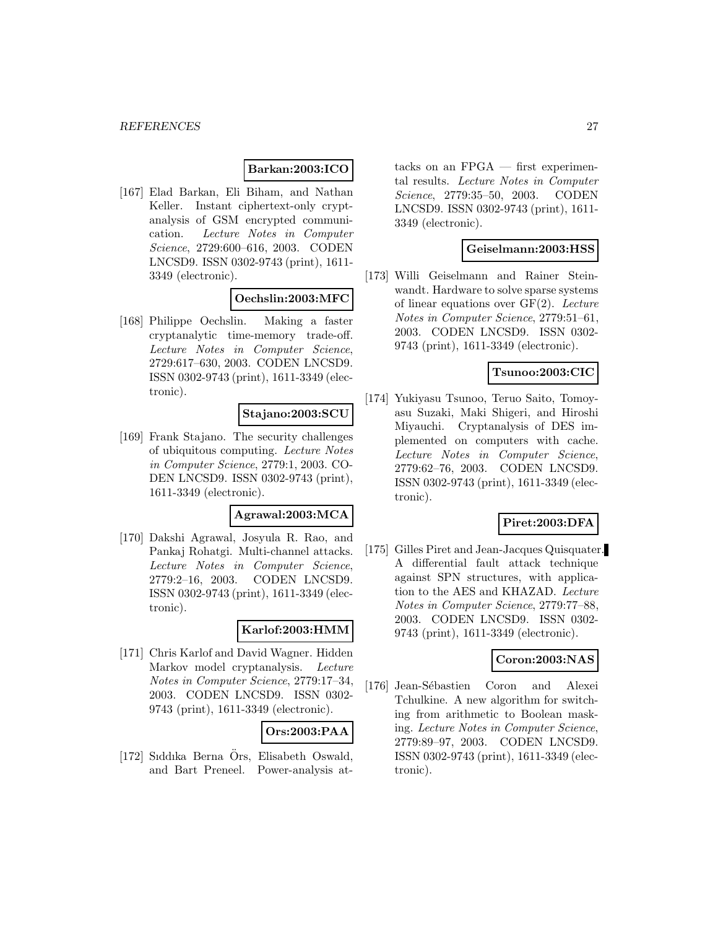# **Barkan:2003:ICO**

[167] Elad Barkan, Eli Biham, and Nathan Keller. Instant ciphertext-only cryptanalysis of GSM encrypted communication. Lecture Notes in Computer Science, 2729:600–616, 2003. CODEN LNCSD9. ISSN 0302-9743 (print), 1611- 3349 (electronic).

# **Oechslin:2003:MFC**

[168] Philippe Oechslin. Making a faster cryptanalytic time-memory trade-off. Lecture Notes in Computer Science, 2729:617–630, 2003. CODEN LNCSD9. ISSN 0302-9743 (print), 1611-3349 (electronic).

#### **Stajano:2003:SCU**

[169] Frank Stajano. The security challenges of ubiquitous computing. Lecture Notes in Computer Science, 2779:1, 2003. CO-DEN LNCSD9. ISSN 0302-9743 (print), 1611-3349 (electronic).

### **Agrawal:2003:MCA**

[170] Dakshi Agrawal, Josyula R. Rao, and Pankaj Rohatgi. Multi-channel attacks. Lecture Notes in Computer Science, 2779:2–16, 2003. CODEN LNCSD9. ISSN 0302-9743 (print), 1611-3349 (electronic).

#### **Karlof:2003:HMM**

[171] Chris Karlof and David Wagner. Hidden Markov model cryptanalysis. Lecture Notes in Computer Science, 2779:17–34, 2003. CODEN LNCSD9. ISSN 0302- 9743 (print), 1611-3349 (electronic).

# **Ors:2003:PAA**

[172] Siddika Berna Ors, Elisabeth Oswald, and Bart Preneel. Power-analysis at-

tacks on an  $FPGA$  — first experimental results. Lecture Notes in Computer Science, 2779:35–50, 2003. CODEN LNCSD9. ISSN 0302-9743 (print), 1611- 3349 (electronic).

#### **Geiselmann:2003:HSS**

[173] Willi Geiselmann and Rainer Steinwandt. Hardware to solve sparse systems of linear equations over  $GF(2)$ . Lecture Notes in Computer Science, 2779:51–61, 2003. CODEN LNCSD9. ISSN 0302- 9743 (print), 1611-3349 (electronic).

#### **Tsunoo:2003:CIC**

[174] Yukiyasu Tsunoo, Teruo Saito, Tomoyasu Suzaki, Maki Shigeri, and Hiroshi Miyauchi. Cryptanalysis of DES implemented on computers with cache. Lecture Notes in Computer Science, 2779:62–76, 2003. CODEN LNCSD9. ISSN 0302-9743 (print), 1611-3349 (electronic).

# **Piret:2003:DFA**

[175] Gilles Piret and Jean-Jacques Quisquater. A differential fault attack technique against SPN structures, with application to the AES and KHAZAD. Lecture Notes in Computer Science, 2779:77–88, 2003. CODEN LNCSD9. ISSN 0302- 9743 (print), 1611-3349 (electronic).

### **Coron:2003:NAS**

[176] Jean-Sébastien Coron and Alexei Tchulkine. A new algorithm for switching from arithmetic to Boolean masking. Lecture Notes in Computer Science, 2779:89–97, 2003. CODEN LNCSD9. ISSN 0302-9743 (print), 1611-3349 (electronic).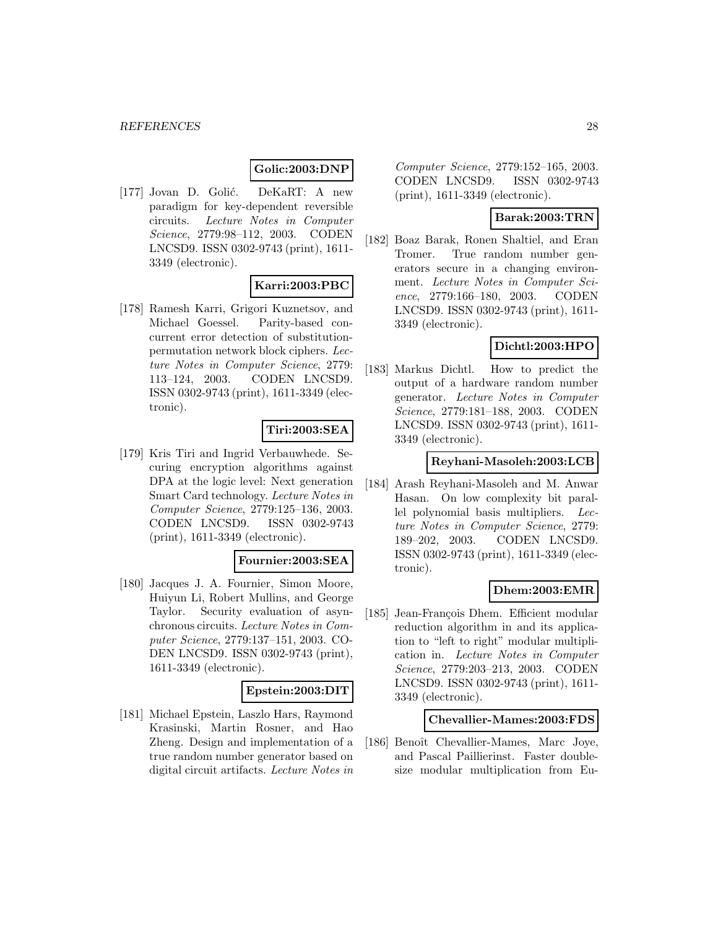# **Golic:2003:DNP**

[177] Jovan D. Golić. DeKaRT: A new paradigm for key-dependent reversible circuits. Lecture Notes in Computer Science, 2779:98–112, 2003. CODEN LNCSD9. ISSN 0302-9743 (print), 1611- 3349 (electronic).

### **Karri:2003:PBC**

[178] Ramesh Karri, Grigori Kuznetsov, and Michael Goessel. Parity-based concurrent error detection of substitutionpermutation network block ciphers. Lecture Notes in Computer Science, 2779: 113–124, 2003. CODEN LNCSD9. ISSN 0302-9743 (print), 1611-3349 (electronic).

### **Tiri:2003:SEA**

[179] Kris Tiri and Ingrid Verbauwhede. Securing encryption algorithms against DPA at the logic level: Next generation Smart Card technology. Lecture Notes in Computer Science, 2779:125–136, 2003. CODEN LNCSD9. ISSN 0302-9743 (print), 1611-3349 (electronic).

# **Fournier:2003:SEA**

[180] Jacques J. A. Fournier, Simon Moore, Huiyun Li, Robert Mullins, and George Taylor. Security evaluation of asynchronous circuits. Lecture Notes in Computer Science, 2779:137–151, 2003. CO-DEN LNCSD9. ISSN 0302-9743 (print), 1611-3349 (electronic).

#### **Epstein:2003:DIT**

[181] Michael Epstein, Laszlo Hars, Raymond Krasinski, Martin Rosner, and Hao Zheng. Design and implementation of a true random number generator based on digital circuit artifacts. Lecture Notes in

Computer Science, 2779:152–165, 2003. CODEN LNCSD9. ISSN 0302-9743 (print), 1611-3349 (electronic).

### **Barak:2003:TRN**

[182] Boaz Barak, Ronen Shaltiel, and Eran Tromer. True random number generators secure in a changing environment. Lecture Notes in Computer Science, 2779:166–180, 2003. CODEN LNCSD9. ISSN 0302-9743 (print), 1611- 3349 (electronic).

#### **Dichtl:2003:HPO**

[183] Markus Dichtl. How to predict the output of a hardware random number generator. Lecture Notes in Computer Science, 2779:181–188, 2003. CODEN LNCSD9. ISSN 0302-9743 (print), 1611- 3349 (electronic).

### **Reyhani-Masoleh:2003:LCB**

[184] Arash Reyhani-Masoleh and M. Anwar Hasan. On low complexity bit parallel polynomial basis multipliers. Lecture Notes in Computer Science, 2779: 189–202, 2003. CODEN LNCSD9. ISSN 0302-9743 (print), 1611-3349 (electronic).

# **Dhem:2003:EMR**

[185] Jean-François Dhem. Efficient modular reduction algorithm in and its application to "left to right" modular multiplication in. Lecture Notes in Computer Science, 2779:203–213, 2003. CODEN LNCSD9. ISSN 0302-9743 (print), 1611- 3349 (electronic).

#### **Chevallier-Mames:2003:FDS**

[186] Benoît Chevallier-Mames, Marc Joye, and Pascal Paillierinst. Faster doublesize modular multiplication from Eu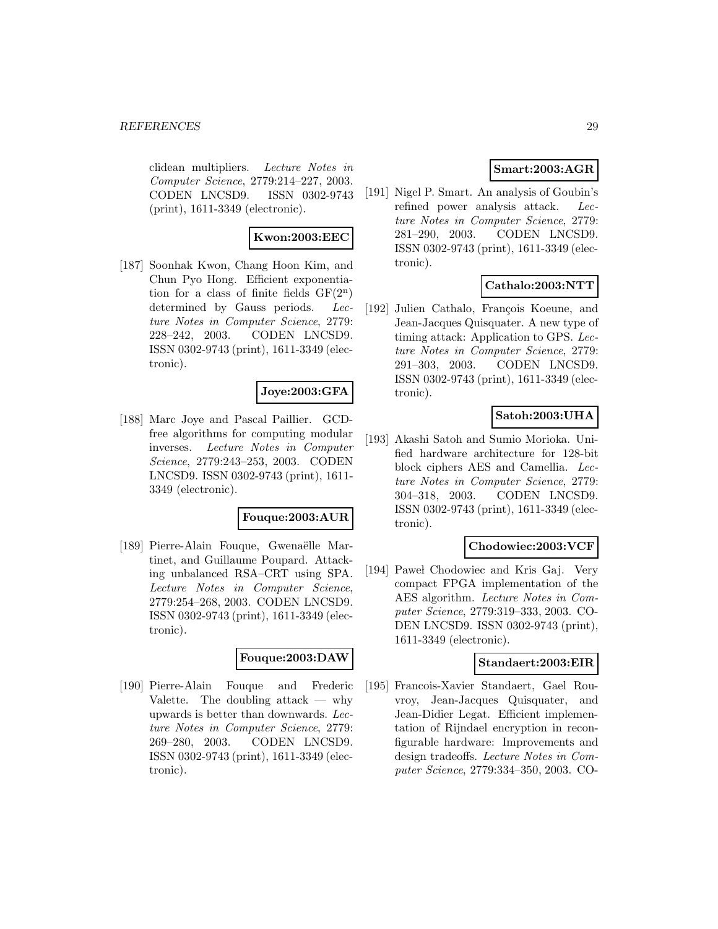clidean multipliers. Lecture Notes in Computer Science, 2779:214–227, 2003. CODEN LNCSD9. ISSN 0302-9743 (print), 1611-3349 (electronic).

# **Kwon:2003:EEC**

[187] Soonhak Kwon, Chang Hoon Kim, and Chun Pyo Hong. Efficient exponentiation for a class of finite fields  $GF(2^n)$ determined by Gauss periods. Lecture Notes in Computer Science, 2779: 228–242, 2003. CODEN LNCSD9. ISSN 0302-9743 (print), 1611-3349 (electronic).

### **Joye:2003:GFA**

[188] Marc Joye and Pascal Paillier. GCDfree algorithms for computing modular inverses. Lecture Notes in Computer Science, 2779:243–253, 2003. CODEN LNCSD9. ISSN 0302-9743 (print), 1611- 3349 (electronic).

#### **Fouque:2003:AUR**

[189] Pierre-Alain Fouque, Gwenaëlle Martinet, and Guillaume Poupard. Attacking unbalanced RSA–CRT using SPA. Lecture Notes in Computer Science, 2779:254–268, 2003. CODEN LNCSD9. ISSN 0302-9743 (print), 1611-3349 (electronic).

# **Fouque:2003:DAW**

[190] Pierre-Alain Fouque and Frederic Valette. The doubling attack — why upwards is better than downwards. Lecture Notes in Computer Science, 2779: 269–280, 2003. CODEN LNCSD9. ISSN 0302-9743 (print), 1611-3349 (electronic).

# **Smart:2003:AGR**

[191] Nigel P. Smart. An analysis of Goubin's refined power analysis attack. Lecture Notes in Computer Science, 2779: 281–290, 2003. CODEN LNCSD9. ISSN 0302-9743 (print), 1611-3349 (electronic).

# **Cathalo:2003:NTT**

[192] Julien Cathalo, François Koeune, and Jean-Jacques Quisquater. A new type of timing attack: Application to GPS. Lecture Notes in Computer Science, 2779: 291–303, 2003. CODEN LNCSD9. ISSN 0302-9743 (print), 1611-3349 (electronic).

# **Satoh:2003:UHA**

[193] Akashi Satoh and Sumio Morioka. Unified hardware architecture for 128-bit block ciphers AES and Camellia. Lecture Notes in Computer Science, 2779: 304–318, 2003. CODEN LNCSD9. ISSN 0302-9743 (print), 1611-3349 (electronic).

### **Chodowiec:2003:VCF**

[194] Pawel Chodowiec and Kris Gaj. Very compact FPGA implementation of the AES algorithm. Lecture Notes in Computer Science, 2779:319–333, 2003. CO-DEN LNCSD9. ISSN 0302-9743 (print), 1611-3349 (electronic).

#### **Standaert:2003:EIR**

[195] Francois-Xavier Standaert, Gael Rouvroy, Jean-Jacques Quisquater, and Jean-Didier Legat. Efficient implementation of Rijndael encryption in reconfigurable hardware: Improvements and design tradeoffs. Lecture Notes in Computer Science, 2779:334–350, 2003. CO-